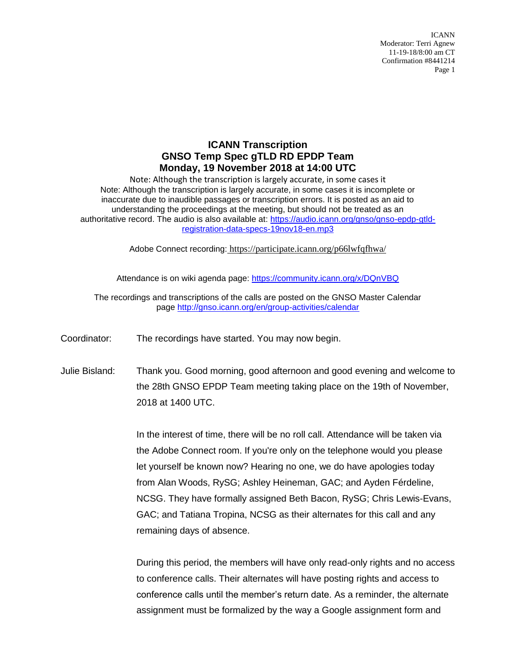## **ICANN Transcription GNSO Temp Spec gTLD RD EPDP Team Monday, 19 November 2018 at 14:00 UTC**

Note: Although the transcription is largely accurate, in some cases it Note: Although the transcription is largely accurate, in some cases it is incomplete or inaccurate due to inaudible passages or transcription errors. It is posted as an aid to understanding the proceedings at the meeting, but should not be treated as an authoritative record. The audio is also available at: [https://audio.icann.org/gnso/gnso-epdp-gtld](https://audio.icann.org/gnso/gnso-epdp-gtld-registration-data-specs-19nov18-en.mp3)[registration-data-specs-19nov18-en.mp3](https://audio.icann.org/gnso/gnso-epdp-gtld-registration-data-specs-19nov18-en.mp3)

Adobe Connect recording: [https://participate.icann.org/p66lwfqfhwa/](https://participate.icann.org/p66lwfqfhwa/?OWASP_CSRFTOKEN=a7f49856259ae4085298cdb19cac7838c943adcfc9183cf2d9029d2edcac2518)

Attendance is on wiki agenda page:<https://community.icann.org/x/DQnVBQ>

The recordings and transcriptions of the calls are posted on the GNSO Master Calendar page<http://gnso.icann.org/en/group-activities/calendar>

Coordinator: The recordings have started. You may now begin.

Julie Bisland: Thank you. Good morning, good afternoon and good evening and welcome to the 28th GNSO EPDP Team meeting taking place on the 19th of November, 2018 at 1400 UTC.

> In the interest of time, there will be no roll call. Attendance will be taken via the Adobe Connect room. If you're only on the telephone would you please let yourself be known now? Hearing no one, we do have apologies today from Alan Woods, RySG; Ashley Heineman, GAC; and Ayden Férdeline, NCSG. They have formally assigned Beth Bacon, RySG; Chris Lewis-Evans, GAC; and Tatiana Tropina, NCSG as their alternates for this call and any remaining days of absence.

> During this period, the members will have only read-only rights and no access to conference calls. Their alternates will have posting rights and access to conference calls until the member's return date. As a reminder, the alternate assignment must be formalized by the way a Google assignment form and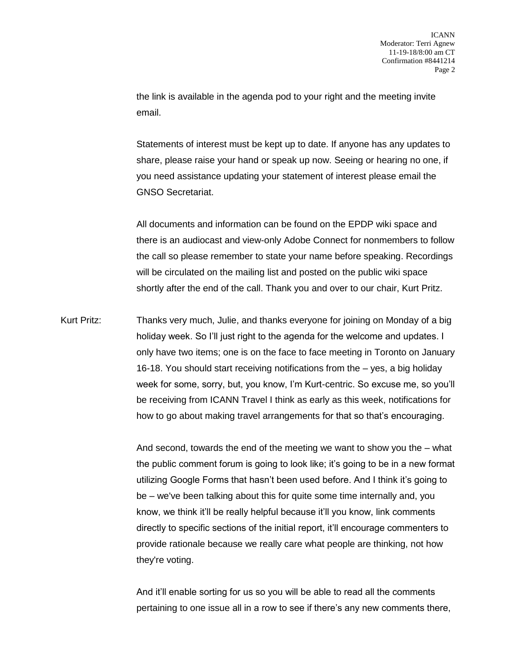the link is available in the agenda pod to your right and the meeting invite email.

Statements of interest must be kept up to date. If anyone has any updates to share, please raise your hand or speak up now. Seeing or hearing no one, if you need assistance updating your statement of interest please email the GNSO Secretariat.

All documents and information can be found on the EPDP wiki space and there is an audiocast and view-only Adobe Connect for nonmembers to follow the call so please remember to state your name before speaking. Recordings will be circulated on the mailing list and posted on the public wiki space shortly after the end of the call. Thank you and over to our chair, Kurt Pritz.

Kurt Pritz: Thanks very much, Julie, and thanks everyone for joining on Monday of a big holiday week. So I'll just right to the agenda for the welcome and updates. I only have two items; one is on the face to face meeting in Toronto on January 16-18. You should start receiving notifications from the – yes, a big holiday week for some, sorry, but, you know, I'm Kurt-centric. So excuse me, so you'll be receiving from ICANN Travel I think as early as this week, notifications for how to go about making travel arrangements for that so that's encouraging.

> And second, towards the end of the meeting we want to show you the – what the public comment forum is going to look like; it's going to be in a new format utilizing Google Forms that hasn't been used before. And I think it's going to be – we've been talking about this for quite some time internally and, you know, we think it'll be really helpful because it'll you know, link comments directly to specific sections of the initial report, it'll encourage commenters to provide rationale because we really care what people are thinking, not how they're voting.

And it'll enable sorting for us so you will be able to read all the comments pertaining to one issue all in a row to see if there's any new comments there,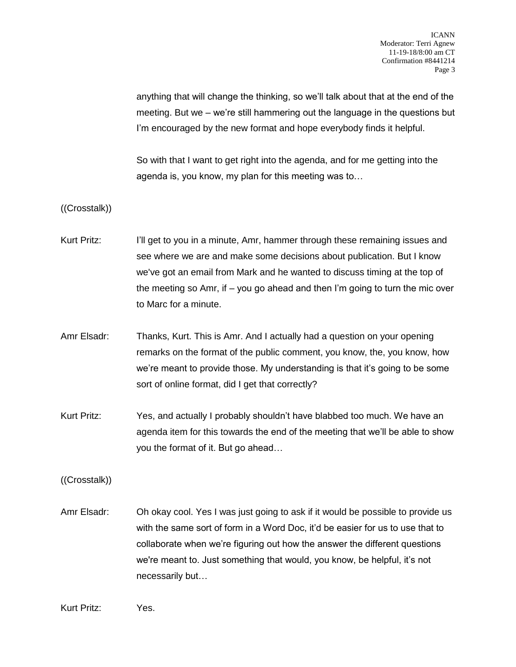anything that will change the thinking, so we'll talk about that at the end of the meeting. But we – we're still hammering out the language in the questions but I'm encouraged by the new format and hope everybody finds it helpful.

So with that I want to get right into the agenda, and for me getting into the agenda is, you know, my plan for this meeting was to…

((Crosstalk))

- Kurt Pritz: I'll get to you in a minute, Amr, hammer through these remaining issues and see where we are and make some decisions about publication. But I know we've got an email from Mark and he wanted to discuss timing at the top of the meeting so Amr, if – you go ahead and then I'm going to turn the mic over to Marc for a minute.
- Amr Elsadr: Thanks, Kurt. This is Amr. And I actually had a question on your opening remarks on the format of the public comment, you know, the, you know, how we're meant to provide those. My understanding is that it's going to be some sort of online format, did I get that correctly?
- Kurt Pritz: Yes, and actually I probably shouldn't have blabbed too much. We have an agenda item for this towards the end of the meeting that we'll be able to show you the format of it. But go ahead…

((Crosstalk))

Amr Elsadr: Oh okay cool. Yes I was just going to ask if it would be possible to provide us with the same sort of form in a Word Doc, it'd be easier for us to use that to collaborate when we're figuring out how the answer the different questions we're meant to. Just something that would, you know, be helpful, it's not necessarily but…

Kurt Pritz: Yes.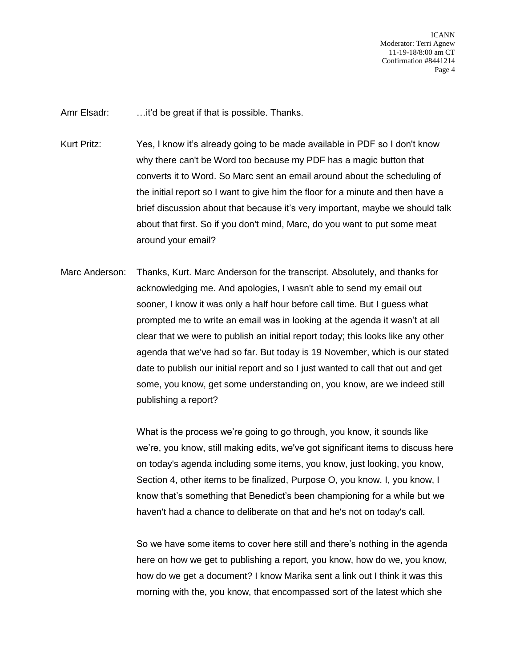Amr Elsadr: ...it'd be great if that is possible. Thanks.

Kurt Pritz: Yes, I know it's already going to be made available in PDF so I don't know why there can't be Word too because my PDF has a magic button that converts it to Word. So Marc sent an email around about the scheduling of the initial report so I want to give him the floor for a minute and then have a brief discussion about that because it's very important, maybe we should talk about that first. So if you don't mind, Marc, do you want to put some meat around your email?

Marc Anderson: Thanks, Kurt. Marc Anderson for the transcript. Absolutely, and thanks for acknowledging me. And apologies, I wasn't able to send my email out sooner, I know it was only a half hour before call time. But I guess what prompted me to write an email was in looking at the agenda it wasn't at all clear that we were to publish an initial report today; this looks like any other agenda that we've had so far. But today is 19 November, which is our stated date to publish our initial report and so I just wanted to call that out and get some, you know, get some understanding on, you know, are we indeed still publishing a report?

> What is the process we're going to go through, you know, it sounds like we're, you know, still making edits, we've got significant items to discuss here on today's agenda including some items, you know, just looking, you know, Section 4, other items to be finalized, Purpose O, you know. I, you know, I know that's something that Benedict's been championing for a while but we haven't had a chance to deliberate on that and he's not on today's call.

So we have some items to cover here still and there's nothing in the agenda here on how we get to publishing a report, you know, how do we, you know, how do we get a document? I know Marika sent a link out I think it was this morning with the, you know, that encompassed sort of the latest which she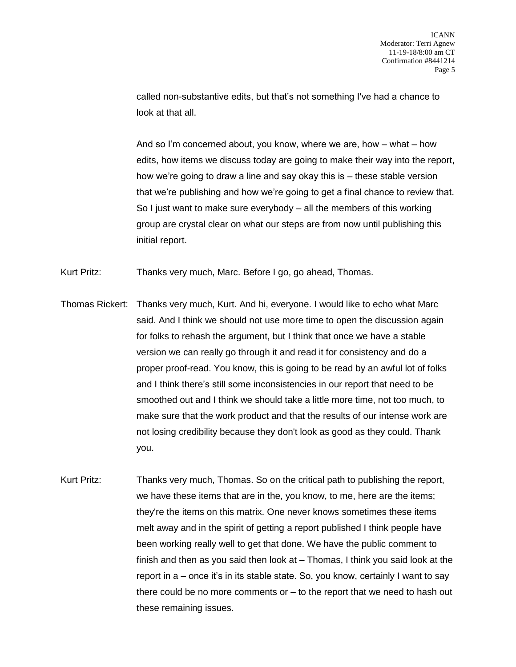called non-substantive edits, but that's not something I've had a chance to look at that all.

And so I'm concerned about, you know, where we are, how – what – how edits, how items we discuss today are going to make their way into the report, how we're going to draw a line and say okay this is – these stable version that we're publishing and how we're going to get a final chance to review that. So I just want to make sure everybody – all the members of this working group are crystal clear on what our steps are from now until publishing this initial report.

Kurt Pritz: Thanks very much, Marc. Before I go, go ahead, Thomas.

- Thomas Rickert: Thanks very much, Kurt. And hi, everyone. I would like to echo what Marc said. And I think we should not use more time to open the discussion again for folks to rehash the argument, but I think that once we have a stable version we can really go through it and read it for consistency and do a proper proof-read. You know, this is going to be read by an awful lot of folks and I think there's still some inconsistencies in our report that need to be smoothed out and I think we should take a little more time, not too much, to make sure that the work product and that the results of our intense work are not losing credibility because they don't look as good as they could. Thank you.
- Kurt Pritz: Thanks very much, Thomas. So on the critical path to publishing the report, we have these items that are in the, you know, to me, here are the items; they're the items on this matrix. One never knows sometimes these items melt away and in the spirit of getting a report published I think people have been working really well to get that done. We have the public comment to finish and then as you said then look at – Thomas, I think you said look at the report in a – once it's in its stable state. So, you know, certainly I want to say there could be no more comments or – to the report that we need to hash out these remaining issues.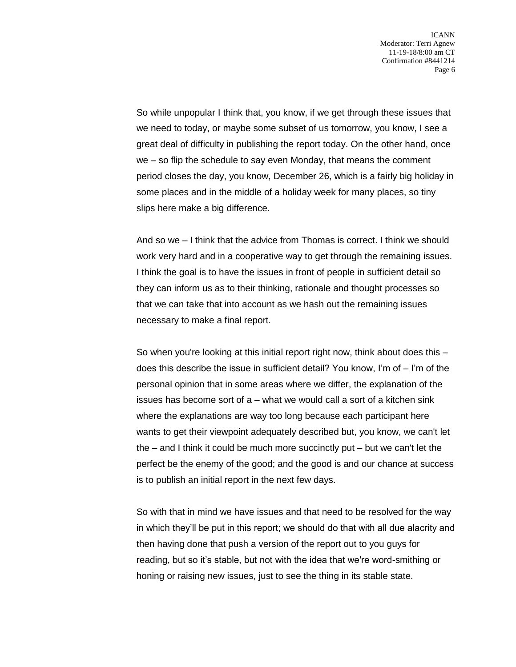So while unpopular I think that, you know, if we get through these issues that we need to today, or maybe some subset of us tomorrow, you know, I see a great deal of difficulty in publishing the report today. On the other hand, once we – so flip the schedule to say even Monday, that means the comment period closes the day, you know, December 26, which is a fairly big holiday in some places and in the middle of a holiday week for many places, so tiny slips here make a big difference.

And so we – I think that the advice from Thomas is correct. I think we should work very hard and in a cooperative way to get through the remaining issues. I think the goal is to have the issues in front of people in sufficient detail so they can inform us as to their thinking, rationale and thought processes so that we can take that into account as we hash out the remaining issues necessary to make a final report.

So when you're looking at this initial report right now, think about does this – does this describe the issue in sufficient detail? You know, I'm of – I'm of the personal opinion that in some areas where we differ, the explanation of the issues has become sort of a – what we would call a sort of a kitchen sink where the explanations are way too long because each participant here wants to get their viewpoint adequately described but, you know, we can't let the – and I think it could be much more succinctly put – but we can't let the perfect be the enemy of the good; and the good is and our chance at success is to publish an initial report in the next few days.

So with that in mind we have issues and that need to be resolved for the way in which they'll be put in this report; we should do that with all due alacrity and then having done that push a version of the report out to you guys for reading, but so it's stable, but not with the idea that we're word-smithing or honing or raising new issues, just to see the thing in its stable state.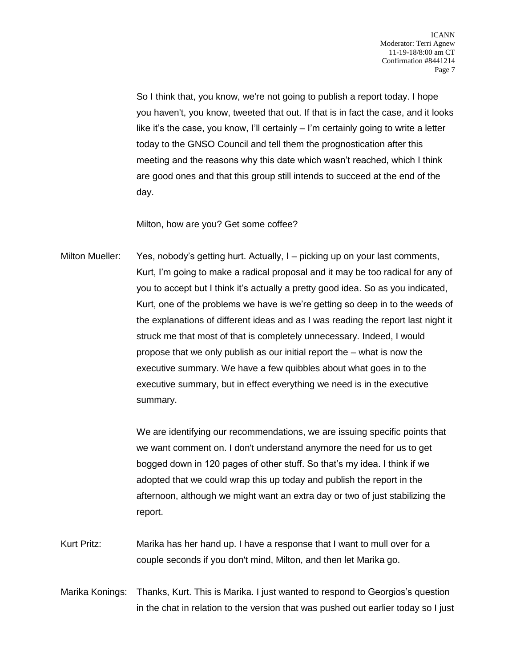So I think that, you know, we're not going to publish a report today. I hope you haven't, you know, tweeted that out. If that is in fact the case, and it looks like it's the case, you know, I'll certainly – I'm certainly going to write a letter today to the GNSO Council and tell them the prognostication after this meeting and the reasons why this date which wasn't reached, which I think are good ones and that this group still intends to succeed at the end of the day.

Milton, how are you? Get some coffee?

Milton Mueller: Yes, nobody's getting hurt. Actually, I – picking up on your last comments, Kurt, I'm going to make a radical proposal and it may be too radical for any of you to accept but I think it's actually a pretty good idea. So as you indicated, Kurt, one of the problems we have is we're getting so deep in to the weeds of the explanations of different ideas and as I was reading the report last night it struck me that most of that is completely unnecessary. Indeed, I would propose that we only publish as our initial report the – what is now the executive summary. We have a few quibbles about what goes in to the executive summary, but in effect everything we need is in the executive summary.

> We are identifying our recommendations, we are issuing specific points that we want comment on. I don't understand anymore the need for us to get bogged down in 120 pages of other stuff. So that's my idea. I think if we adopted that we could wrap this up today and publish the report in the afternoon, although we might want an extra day or two of just stabilizing the report.

- Kurt Pritz: Marika has her hand up. I have a response that I want to mull over for a couple seconds if you don't mind, Milton, and then let Marika go.
- Marika Konings: Thanks, Kurt. This is Marika. I just wanted to respond to Georgios's question in the chat in relation to the version that was pushed out earlier today so I just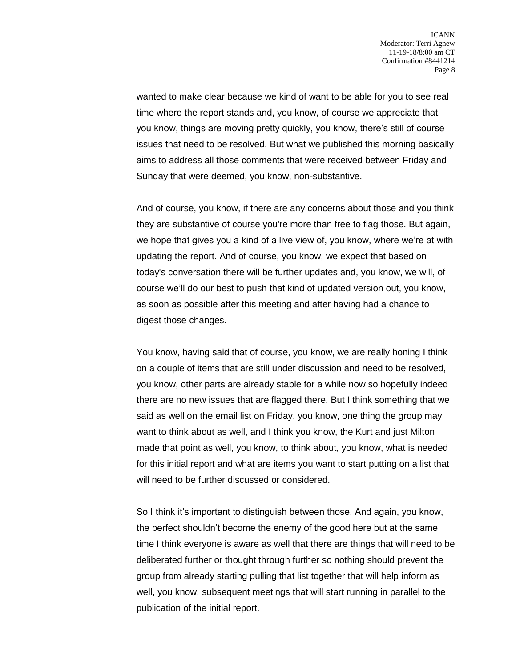wanted to make clear because we kind of want to be able for you to see real time where the report stands and, you know, of course we appreciate that, you know, things are moving pretty quickly, you know, there's still of course issues that need to be resolved. But what we published this morning basically aims to address all those comments that were received between Friday and Sunday that were deemed, you know, non-substantive.

And of course, you know, if there are any concerns about those and you think they are substantive of course you're more than free to flag those. But again, we hope that gives you a kind of a live view of, you know, where we're at with updating the report. And of course, you know, we expect that based on today's conversation there will be further updates and, you know, we will, of course we'll do our best to push that kind of updated version out, you know, as soon as possible after this meeting and after having had a chance to digest those changes.

You know, having said that of course, you know, we are really honing I think on a couple of items that are still under discussion and need to be resolved, you know, other parts are already stable for a while now so hopefully indeed there are no new issues that are flagged there. But I think something that we said as well on the email list on Friday, you know, one thing the group may want to think about as well, and I think you know, the Kurt and just Milton made that point as well, you know, to think about, you know, what is needed for this initial report and what are items you want to start putting on a list that will need to be further discussed or considered.

So I think it's important to distinguish between those. And again, you know, the perfect shouldn't become the enemy of the good here but at the same time I think everyone is aware as well that there are things that will need to be deliberated further or thought through further so nothing should prevent the group from already starting pulling that list together that will help inform as well, you know, subsequent meetings that will start running in parallel to the publication of the initial report.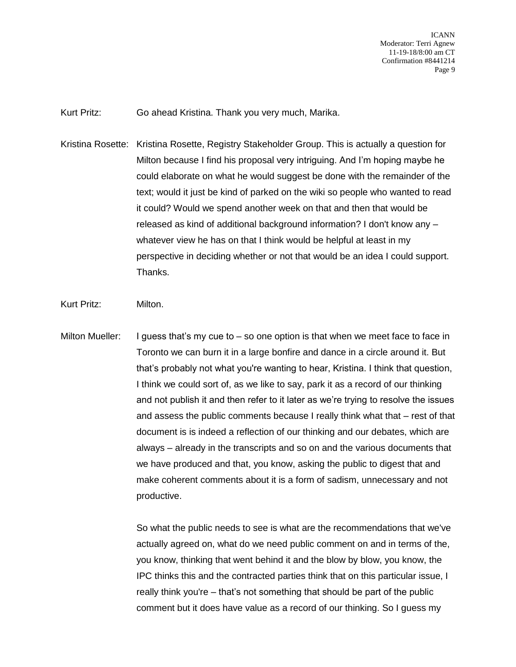Kurt Pritz: Go ahead Kristina. Thank you very much, Marika.

Kristina Rosette: Kristina Rosette, Registry Stakeholder Group. This is actually a question for Milton because I find his proposal very intriguing. And I'm hoping maybe he could elaborate on what he would suggest be done with the remainder of the text; would it just be kind of parked on the wiki so people who wanted to read it could? Would we spend another week on that and then that would be released as kind of additional background information? I don't know any – whatever view he has on that I think would be helpful at least in my perspective in deciding whether or not that would be an idea I could support. Thanks.

Kurt Pritz: Milton.

Milton Mueller: I guess that's my cue to  $-$  so one option is that when we meet face to face in Toronto we can burn it in a large bonfire and dance in a circle around it. But that's probably not what you're wanting to hear, Kristina. I think that question, I think we could sort of, as we like to say, park it as a record of our thinking and not publish it and then refer to it later as we're trying to resolve the issues and assess the public comments because I really think what that – rest of that document is is indeed a reflection of our thinking and our debates, which are always – already in the transcripts and so on and the various documents that we have produced and that, you know, asking the public to digest that and make coherent comments about it is a form of sadism, unnecessary and not productive.

> So what the public needs to see is what are the recommendations that we've actually agreed on, what do we need public comment on and in terms of the, you know, thinking that went behind it and the blow by blow, you know, the IPC thinks this and the contracted parties think that on this particular issue, I really think you're – that's not something that should be part of the public comment but it does have value as a record of our thinking. So I guess my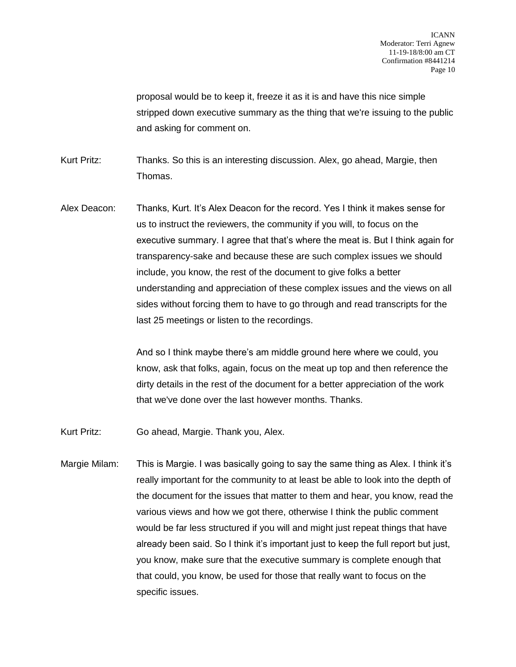proposal would be to keep it, freeze it as it is and have this nice simple stripped down executive summary as the thing that we're issuing to the public and asking for comment on.

Kurt Pritz: Thanks. So this is an interesting discussion. Alex, go ahead, Margie, then Thomas.

Alex Deacon: Thanks, Kurt. It's Alex Deacon for the record. Yes I think it makes sense for us to instruct the reviewers, the community if you will, to focus on the executive summary. I agree that that's where the meat is. But I think again for transparency-sake and because these are such complex issues we should include, you know, the rest of the document to give folks a better understanding and appreciation of these complex issues and the views on all sides without forcing them to have to go through and read transcripts for the last 25 meetings or listen to the recordings.

> And so I think maybe there's am middle ground here where we could, you know, ask that folks, again, focus on the meat up top and then reference the dirty details in the rest of the document for a better appreciation of the work that we've done over the last however months. Thanks.

Kurt Pritz: Go ahead, Margie. Thank you, Alex.

Margie Milam: This is Margie. I was basically going to say the same thing as Alex. I think it's really important for the community to at least be able to look into the depth of the document for the issues that matter to them and hear, you know, read the various views and how we got there, otherwise I think the public comment would be far less structured if you will and might just repeat things that have already been said. So I think it's important just to keep the full report but just, you know, make sure that the executive summary is complete enough that that could, you know, be used for those that really want to focus on the specific issues.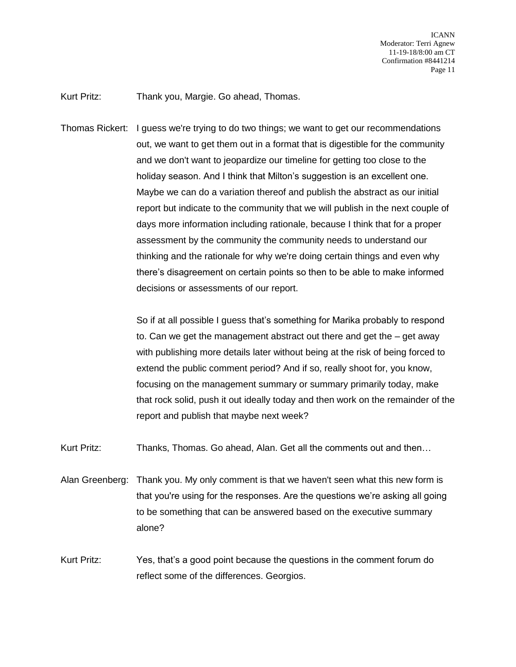Kurt Pritz: Thank you, Margie. Go ahead, Thomas.

Thomas Rickert: I guess we're trying to do two things; we want to get our recommendations out, we want to get them out in a format that is digestible for the community and we don't want to jeopardize our timeline for getting too close to the holiday season. And I think that Milton's suggestion is an excellent one. Maybe we can do a variation thereof and publish the abstract as our initial report but indicate to the community that we will publish in the next couple of days more information including rationale, because I think that for a proper assessment by the community the community needs to understand our thinking and the rationale for why we're doing certain things and even why there's disagreement on certain points so then to be able to make informed decisions or assessments of our report.

> So if at all possible I guess that's something for Marika probably to respond to. Can we get the management abstract out there and get the – get away with publishing more details later without being at the risk of being forced to extend the public comment period? And if so, really shoot for, you know, focusing on the management summary or summary primarily today, make that rock solid, push it out ideally today and then work on the remainder of the report and publish that maybe next week?

Kurt Pritz: Thanks, Thomas. Go ahead, Alan. Get all the comments out and then…

- Alan Greenberg: Thank you. My only comment is that we haven't seen what this new form is that you're using for the responses. Are the questions we're asking all going to be something that can be answered based on the executive summary alone?
- Kurt Pritz: Yes, that's a good point because the questions in the comment forum do reflect some of the differences. Georgios.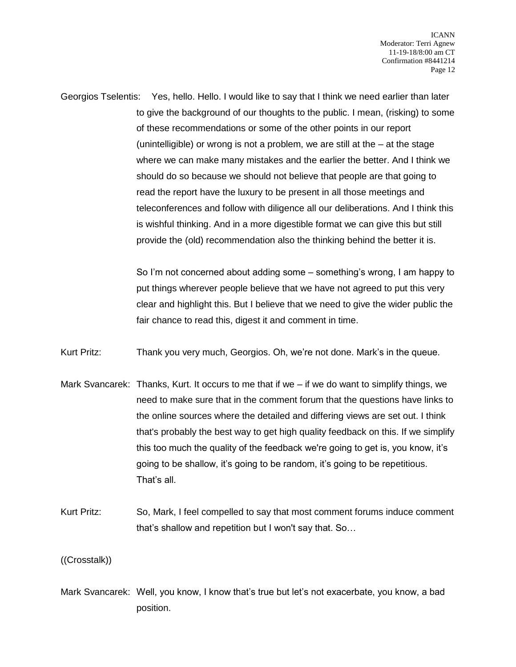Georgios Tselentis: Yes, hello. Hello. I would like to say that I think we need earlier than later to give the background of our thoughts to the public. I mean, (risking) to some of these recommendations or some of the other points in our report (unintelligible) or wrong is not a problem, we are still at the – at the stage where we can make many mistakes and the earlier the better. And I think we should do so because we should not believe that people are that going to read the report have the luxury to be present in all those meetings and teleconferences and follow with diligence all our deliberations. And I think this is wishful thinking. And in a more digestible format we can give this but still provide the (old) recommendation also the thinking behind the better it is.

> So I'm not concerned about adding some – something's wrong, I am happy to put things wherever people believe that we have not agreed to put this very clear and highlight this. But I believe that we need to give the wider public the fair chance to read this, digest it and comment in time.

Kurt Pritz: Thank you very much, Georgios. Oh, we're not done. Mark's in the queue.

- Mark Svancarek: Thanks, Kurt. It occurs to me that if we if we do want to simplify things, we need to make sure that in the comment forum that the questions have links to the online sources where the detailed and differing views are set out. I think that's probably the best way to get high quality feedback on this. If we simplify this too much the quality of the feedback we're going to get is, you know, it's going to be shallow, it's going to be random, it's going to be repetitious. That's all.
- Kurt Pritz: So, Mark, I feel compelled to say that most comment forums induce comment that's shallow and repetition but I won't say that. So…

((Crosstalk))

Mark Svancarek: Well, you know, I know that's true but let's not exacerbate, you know, a bad position.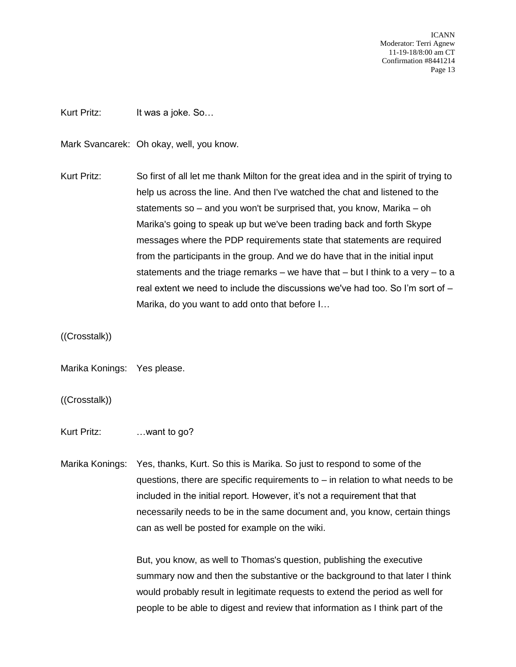Kurt Pritz: It was a joke. So...

Mark Svancarek: Oh okay, well, you know.

Kurt Pritz: So first of all let me thank Milton for the great idea and in the spirit of trying to help us across the line. And then I've watched the chat and listened to the statements so – and you won't be surprised that, you know, Marika – oh Marika's going to speak up but we've been trading back and forth Skype messages where the PDP requirements state that statements are required from the participants in the group. And we do have that in the initial input statements and the triage remarks – we have that – but I think to a very – to a real extent we need to include the discussions we've had too. So I'm sort of – Marika, do you want to add onto that before I…

((Crosstalk))

Marika Konings: Yes please.

((Crosstalk))

Kurt Pritz: …want to go?

Marika Konings: Yes, thanks, Kurt. So this is Marika. So just to respond to some of the questions, there are specific requirements to – in relation to what needs to be included in the initial report. However, it's not a requirement that that necessarily needs to be in the same document and, you know, certain things can as well be posted for example on the wiki.

> But, you know, as well to Thomas's question, publishing the executive summary now and then the substantive or the background to that later I think would probably result in legitimate requests to extend the period as well for people to be able to digest and review that information as I think part of the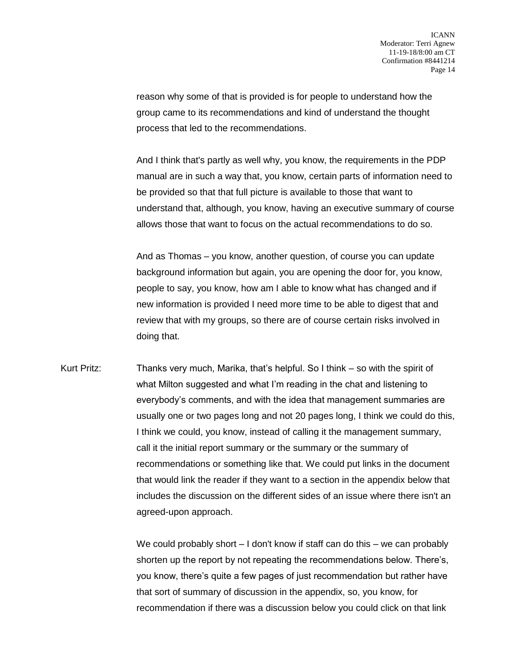reason why some of that is provided is for people to understand how the group came to its recommendations and kind of understand the thought process that led to the recommendations.

And I think that's partly as well why, you know, the requirements in the PDP manual are in such a way that, you know, certain parts of information need to be provided so that that full picture is available to those that want to understand that, although, you know, having an executive summary of course allows those that want to focus on the actual recommendations to do so.

And as Thomas – you know, another question, of course you can update background information but again, you are opening the door for, you know, people to say, you know, how am I able to know what has changed and if new information is provided I need more time to be able to digest that and review that with my groups, so there are of course certain risks involved in doing that.

Kurt Pritz: Thanks very much, Marika, that's helpful. So I think – so with the spirit of what Milton suggested and what I'm reading in the chat and listening to everybody's comments, and with the idea that management summaries are usually one or two pages long and not 20 pages long, I think we could do this, I think we could, you know, instead of calling it the management summary, call it the initial report summary or the summary or the summary of recommendations or something like that. We could put links in the document that would link the reader if they want to a section in the appendix below that includes the discussion on the different sides of an issue where there isn't an agreed-upon approach.

> We could probably short – I don't know if staff can do this – we can probably shorten up the report by not repeating the recommendations below. There's, you know, there's quite a few pages of just recommendation but rather have that sort of summary of discussion in the appendix, so, you know, for recommendation if there was a discussion below you could click on that link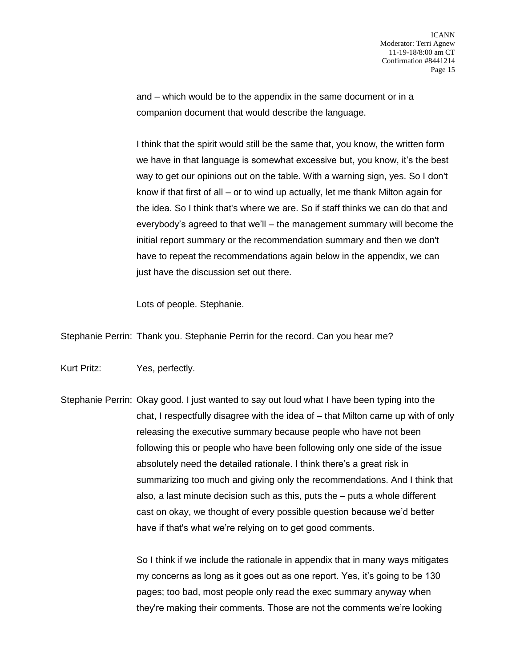and – which would be to the appendix in the same document or in a companion document that would describe the language.

I think that the spirit would still be the same that, you know, the written form we have in that language is somewhat excessive but, you know, it's the best way to get our opinions out on the table. With a warning sign, yes. So I don't know if that first of all – or to wind up actually, let me thank Milton again for the idea. So I think that's where we are. So if staff thinks we can do that and everybody's agreed to that we'll – the management summary will become the initial report summary or the recommendation summary and then we don't have to repeat the recommendations again below in the appendix, we can just have the discussion set out there.

Lots of people. Stephanie.

Stephanie Perrin: Thank you. Stephanie Perrin for the record. Can you hear me?

Kurt Pritz: Yes, perfectly.

Stephanie Perrin: Okay good. I just wanted to say out loud what I have been typing into the chat, I respectfully disagree with the idea of – that Milton came up with of only releasing the executive summary because people who have not been following this or people who have been following only one side of the issue absolutely need the detailed rationale. I think there's a great risk in summarizing too much and giving only the recommendations. And I think that also, a last minute decision such as this, puts the – puts a whole different cast on okay, we thought of every possible question because we'd better have if that's what we're relying on to get good comments.

> So I think if we include the rationale in appendix that in many ways mitigates my concerns as long as it goes out as one report. Yes, it's going to be 130 pages; too bad, most people only read the exec summary anyway when they're making their comments. Those are not the comments we're looking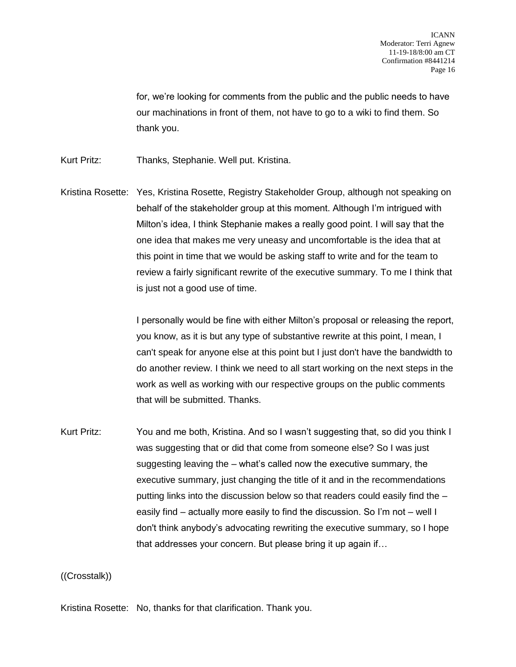for, we're looking for comments from the public and the public needs to have our machinations in front of them, not have to go to a wiki to find them. So thank you.

Kurt Pritz: Thanks, Stephanie. Well put. Kristina.

Kristina Rosette: Yes, Kristina Rosette, Registry Stakeholder Group, although not speaking on behalf of the stakeholder group at this moment. Although I'm intrigued with Milton's idea, I think Stephanie makes a really good point. I will say that the one idea that makes me very uneasy and uncomfortable is the idea that at this point in time that we would be asking staff to write and for the team to review a fairly significant rewrite of the executive summary. To me I think that is just not a good use of time.

> I personally would be fine with either Milton's proposal or releasing the report, you know, as it is but any type of substantive rewrite at this point, I mean, I can't speak for anyone else at this point but I just don't have the bandwidth to do another review. I think we need to all start working on the next steps in the work as well as working with our respective groups on the public comments that will be submitted. Thanks.

Kurt Pritz: You and me both, Kristina. And so I wasn't suggesting that, so did you think I was suggesting that or did that come from someone else? So I was just suggesting leaving the – what's called now the executive summary, the executive summary, just changing the title of it and in the recommendations putting links into the discussion below so that readers could easily find the – easily find – actually more easily to find the discussion. So I'm not – well I don't think anybody's advocating rewriting the executive summary, so I hope that addresses your concern. But please bring it up again if…

((Crosstalk))

Kristina Rosette: No, thanks for that clarification. Thank you.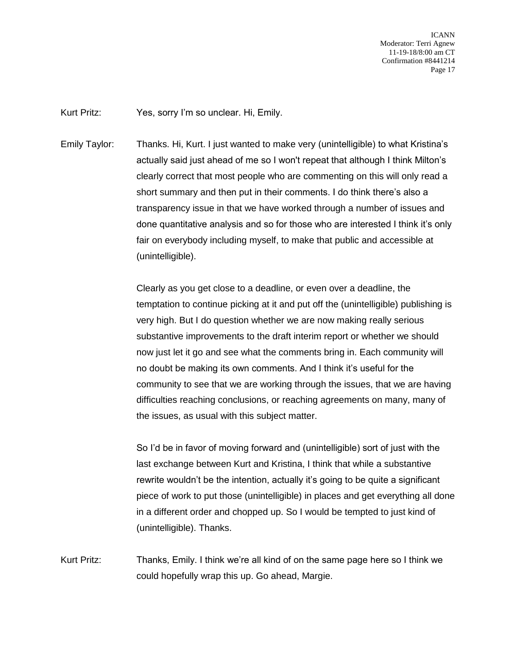Kurt Pritz: Yes, sorry I'm so unclear. Hi, Emily.

Emily Taylor: Thanks. Hi, Kurt. I just wanted to make very (unintelligible) to what Kristina's actually said just ahead of me so I won't repeat that although I think Milton's clearly correct that most people who are commenting on this will only read a short summary and then put in their comments. I do think there's also a transparency issue in that we have worked through a number of issues and done quantitative analysis and so for those who are interested I think it's only fair on everybody including myself, to make that public and accessible at (unintelligible).

> Clearly as you get close to a deadline, or even over a deadline, the temptation to continue picking at it and put off the (unintelligible) publishing is very high. But I do question whether we are now making really serious substantive improvements to the draft interim report or whether we should now just let it go and see what the comments bring in. Each community will no doubt be making its own comments. And I think it's useful for the community to see that we are working through the issues, that we are having difficulties reaching conclusions, or reaching agreements on many, many of the issues, as usual with this subject matter.

> So I'd be in favor of moving forward and (unintelligible) sort of just with the last exchange between Kurt and Kristina, I think that while a substantive rewrite wouldn't be the intention, actually it's going to be quite a significant piece of work to put those (unintelligible) in places and get everything all done in a different order and chopped up. So I would be tempted to just kind of (unintelligible). Thanks.

Kurt Pritz: Thanks, Emily. I think we're all kind of on the same page here so I think we could hopefully wrap this up. Go ahead, Margie.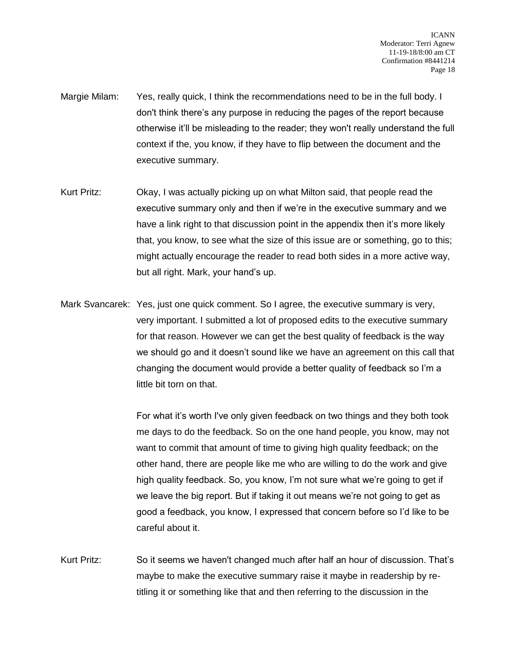- Margie Milam: Yes, really quick, I think the recommendations need to be in the full body. I don't think there's any purpose in reducing the pages of the report because otherwise it'll be misleading to the reader; they won't really understand the full context if the, you know, if they have to flip between the document and the executive summary.
- Kurt Pritz: Okay, I was actually picking up on what Milton said, that people read the executive summary only and then if we're in the executive summary and we have a link right to that discussion point in the appendix then it's more likely that, you know, to see what the size of this issue are or something, go to this; might actually encourage the reader to read both sides in a more active way, but all right. Mark, your hand's up.
- Mark Svancarek: Yes, just one quick comment. So I agree, the executive summary is very, very important. I submitted a lot of proposed edits to the executive summary for that reason. However we can get the best quality of feedback is the way we should go and it doesn't sound like we have an agreement on this call that changing the document would provide a better quality of feedback so I'm a little bit torn on that.

For what it's worth I've only given feedback on two things and they both took me days to do the feedback. So on the one hand people, you know, may not want to commit that amount of time to giving high quality feedback; on the other hand, there are people like me who are willing to do the work and give high quality feedback. So, you know, I'm not sure what we're going to get if we leave the big report. But if taking it out means we're not going to get as good a feedback, you know, I expressed that concern before so I'd like to be careful about it.

Kurt Pritz: So it seems we haven't changed much after half an hour of discussion. That's maybe to make the executive summary raise it maybe in readership by retitling it or something like that and then referring to the discussion in the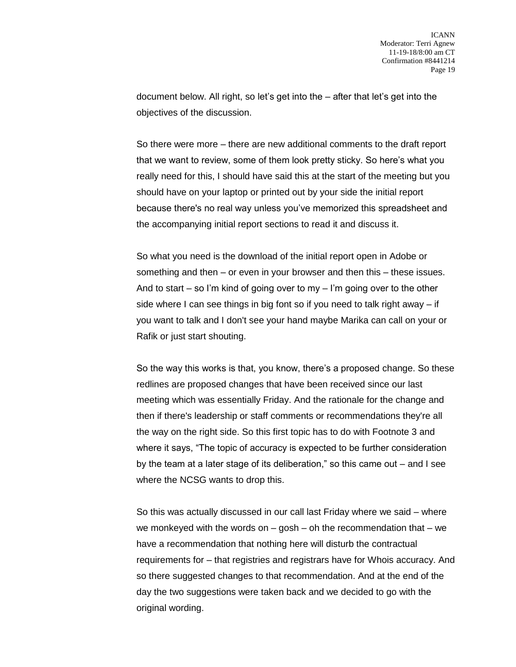document below. All right, so let's get into the – after that let's get into the objectives of the discussion.

So there were more – there are new additional comments to the draft report that we want to review, some of them look pretty sticky. So here's what you really need for this, I should have said this at the start of the meeting but you should have on your laptop or printed out by your side the initial report because there's no real way unless you've memorized this spreadsheet and the accompanying initial report sections to read it and discuss it.

So what you need is the download of the initial report open in Adobe or something and then – or even in your browser and then this – these issues. And to start – so I'm kind of going over to my – I'm going over to the other side where I can see things in big font so if you need to talk right away – if you want to talk and I don't see your hand maybe Marika can call on your or Rafik or just start shouting.

So the way this works is that, you know, there's a proposed change. So these redlines are proposed changes that have been received since our last meeting which was essentially Friday. And the rationale for the change and then if there's leadership or staff comments or recommendations they're all the way on the right side. So this first topic has to do with Footnote 3 and where it says, "The topic of accuracy is expected to be further consideration by the team at a later stage of its deliberation," so this came out – and I see where the NCSG wants to drop this.

So this was actually discussed in our call last Friday where we said – where we monkeyed with the words on  $-$  gosh  $-$  oh the recommendation that  $-$  we have a recommendation that nothing here will disturb the contractual requirements for – that registries and registrars have for Whois accuracy. And so there suggested changes to that recommendation. And at the end of the day the two suggestions were taken back and we decided to go with the original wording.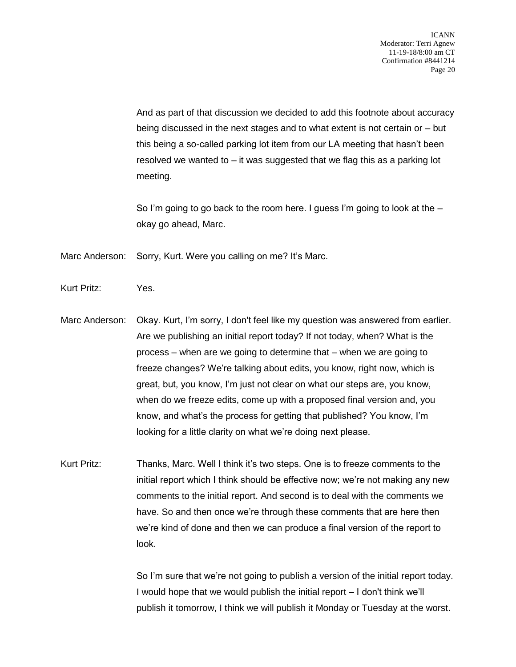And as part of that discussion we decided to add this footnote about accuracy being discussed in the next stages and to what extent is not certain or – but this being a so-called parking lot item from our LA meeting that hasn't been resolved we wanted to – it was suggested that we flag this as a parking lot meeting.

So I'm going to go back to the room here. I guess I'm going to look at the – okay go ahead, Marc.

Marc Anderson: Sorry, Kurt. Were you calling on me? It's Marc.

Kurt Pritz: Yes.

Marc Anderson: Okay. Kurt, I'm sorry, I don't feel like my question was answered from earlier. Are we publishing an initial report today? If not today, when? What is the process – when are we going to determine that – when we are going to freeze changes? We're talking about edits, you know, right now, which is great, but, you know, I'm just not clear on what our steps are, you know, when do we freeze edits, come up with a proposed final version and, you know, and what's the process for getting that published? You know, I'm looking for a little clarity on what we're doing next please.

Kurt Pritz: Thanks, Marc. Well I think it's two steps. One is to freeze comments to the initial report which I think should be effective now; we're not making any new comments to the initial report. And second is to deal with the comments we have. So and then once we're through these comments that are here then we're kind of done and then we can produce a final version of the report to look.

> So I'm sure that we're not going to publish a version of the initial report today. I would hope that we would publish the initial report – I don't think we'll publish it tomorrow, I think we will publish it Monday or Tuesday at the worst.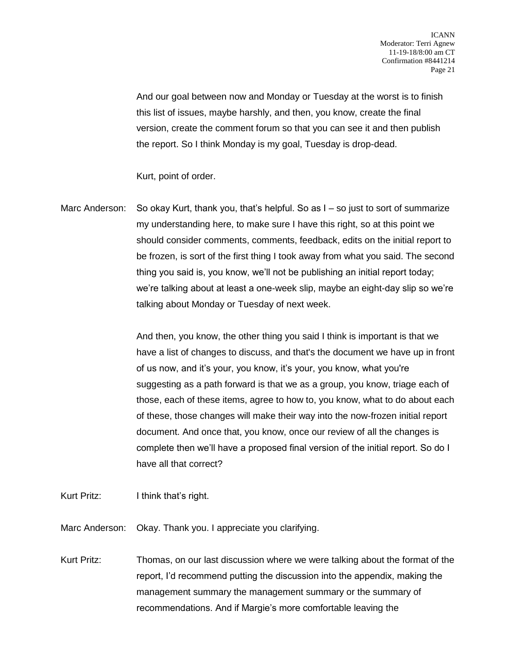And our goal between now and Monday or Tuesday at the worst is to finish this list of issues, maybe harshly, and then, you know, create the final version, create the comment forum so that you can see it and then publish the report. So I think Monday is my goal, Tuesday is drop-dead.

Kurt, point of order.

Marc Anderson: So okay Kurt, thank you, that's helpful. So as I – so just to sort of summarize my understanding here, to make sure I have this right, so at this point we should consider comments, comments, feedback, edits on the initial report to be frozen, is sort of the first thing I took away from what you said. The second thing you said is, you know, we'll not be publishing an initial report today; we're talking about at least a one-week slip, maybe an eight-day slip so we're talking about Monday or Tuesday of next week.

> And then, you know, the other thing you said I think is important is that we have a list of changes to discuss, and that's the document we have up in front of us now, and it's your, you know, it's your, you know, what you're suggesting as a path forward is that we as a group, you know, triage each of those, each of these items, agree to how to, you know, what to do about each of these, those changes will make their way into the now-frozen initial report document. And once that, you know, once our review of all the changes is complete then we'll have a proposed final version of the initial report. So do I have all that correct?

Kurt Pritz: I think that's right.

Marc Anderson: Okay. Thank you. I appreciate you clarifying.

Kurt Pritz: Thomas, on our last discussion where we were talking about the format of the report, I'd recommend putting the discussion into the appendix, making the management summary the management summary or the summary of recommendations. And if Margie's more comfortable leaving the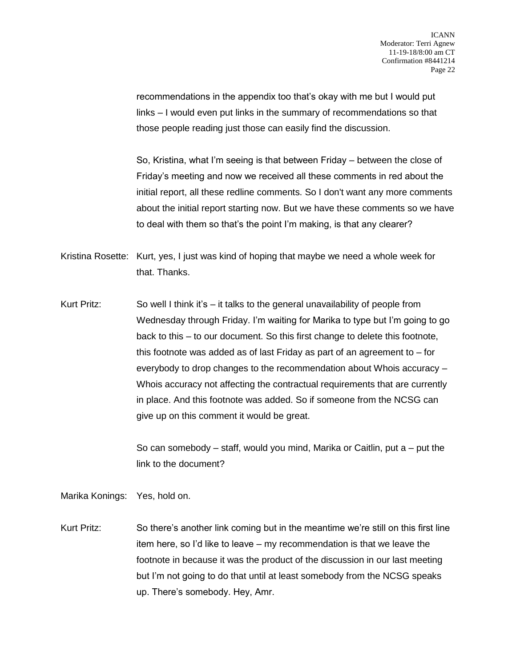recommendations in the appendix too that's okay with me but I would put links – I would even put links in the summary of recommendations so that those people reading just those can easily find the discussion.

So, Kristina, what I'm seeing is that between Friday – between the close of Friday's meeting and now we received all these comments in red about the initial report, all these redline comments. So I don't want any more comments about the initial report starting now. But we have these comments so we have to deal with them so that's the point I'm making, is that any clearer?

- Kristina Rosette: Kurt, yes, I just was kind of hoping that maybe we need a whole week for that. Thanks.
- Kurt Pritz: So well I think it's it talks to the general unavailability of people from Wednesday through Friday. I'm waiting for Marika to type but I'm going to go back to this – to our document. So this first change to delete this footnote, this footnote was added as of last Friday as part of an agreement to  $-$  for everybody to drop changes to the recommendation about Whois accuracy – Whois accuracy not affecting the contractual requirements that are currently in place. And this footnote was added. So if someone from the NCSG can give up on this comment it would be great.

So can somebody  $-$  staff, would you mind, Marika or Caitlin, put a  $-$  put the link to the document?

Marika Konings: Yes, hold on.

Kurt Pritz: So there's another link coming but in the meantime we're still on this first line item here, so I'd like to leave – my recommendation is that we leave the footnote in because it was the product of the discussion in our last meeting but I'm not going to do that until at least somebody from the NCSG speaks up. There's somebody. Hey, Amr.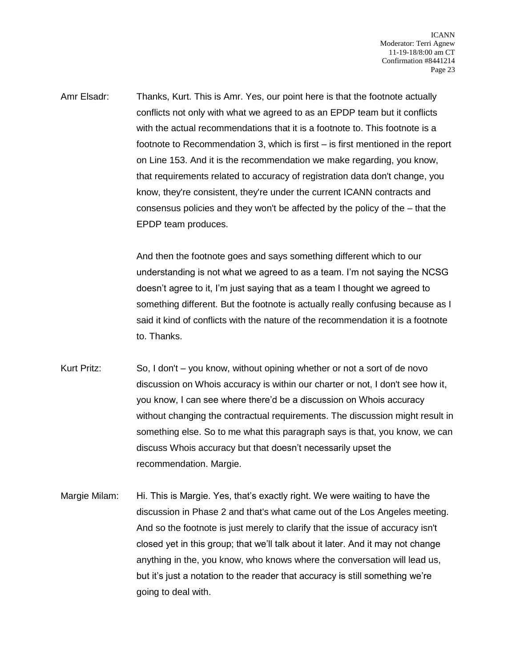Amr Elsadr: Thanks, Kurt. This is Amr. Yes, our point here is that the footnote actually conflicts not only with what we agreed to as an EPDP team but it conflicts with the actual recommendations that it is a footnote to. This footnote is a footnote to Recommendation 3, which is first – is first mentioned in the report on Line 153. And it is the recommendation we make regarding, you know, that requirements related to accuracy of registration data don't change, you know, they're consistent, they're under the current ICANN contracts and consensus policies and they won't be affected by the policy of the – that the EPDP team produces.

> And then the footnote goes and says something different which to our understanding is not what we agreed to as a team. I'm not saying the NCSG doesn't agree to it, I'm just saying that as a team I thought we agreed to something different. But the footnote is actually really confusing because as I said it kind of conflicts with the nature of the recommendation it is a footnote to. Thanks.

- Kurt Pritz: So, I don't you know, without opining whether or not a sort of de novo discussion on Whois accuracy is within our charter or not, I don't see how it, you know, I can see where there'd be a discussion on Whois accuracy without changing the contractual requirements. The discussion might result in something else. So to me what this paragraph says is that, you know, we can discuss Whois accuracy but that doesn't necessarily upset the recommendation. Margie.
- Margie Milam: Hi. This is Margie. Yes, that's exactly right. We were waiting to have the discussion in Phase 2 and that's what came out of the Los Angeles meeting. And so the footnote is just merely to clarify that the issue of accuracy isn't closed yet in this group; that we'll talk about it later. And it may not change anything in the, you know, who knows where the conversation will lead us, but it's just a notation to the reader that accuracy is still something we're going to deal with.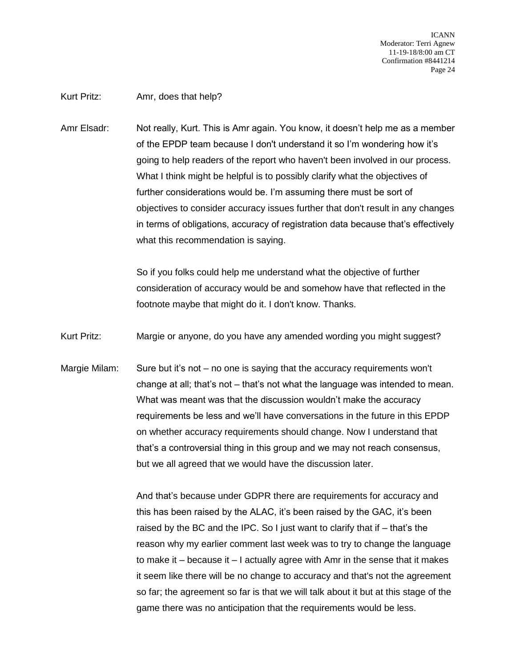## Kurt Pritz: Amr, does that help?

Amr Elsadr: Not really, Kurt. This is Amr again. You know, it doesn't help me as a member of the EPDP team because I don't understand it so I'm wondering how it's going to help readers of the report who haven't been involved in our process. What I think might be helpful is to possibly clarify what the objectives of further considerations would be. I'm assuming there must be sort of objectives to consider accuracy issues further that don't result in any changes in terms of obligations, accuracy of registration data because that's effectively what this recommendation is saying.

> So if you folks could help me understand what the objective of further consideration of accuracy would be and somehow have that reflected in the footnote maybe that might do it. I don't know. Thanks.

Kurt Pritz: Margie or anyone, do you have any amended wording you might suggest?

Margie Milam: Sure but it's not – no one is saying that the accuracy requirements won't change at all; that's not – that's not what the language was intended to mean. What was meant was that the discussion wouldn't make the accuracy requirements be less and we'll have conversations in the future in this EPDP on whether accuracy requirements should change. Now I understand that that's a controversial thing in this group and we may not reach consensus, but we all agreed that we would have the discussion later.

> And that's because under GDPR there are requirements for accuracy and this has been raised by the ALAC, it's been raised by the GAC, it's been raised by the BC and the IPC. So I just want to clarify that if – that's the reason why my earlier comment last week was to try to change the language to make it – because it – I actually agree with Amr in the sense that it makes it seem like there will be no change to accuracy and that's not the agreement so far; the agreement so far is that we will talk about it but at this stage of the game there was no anticipation that the requirements would be less.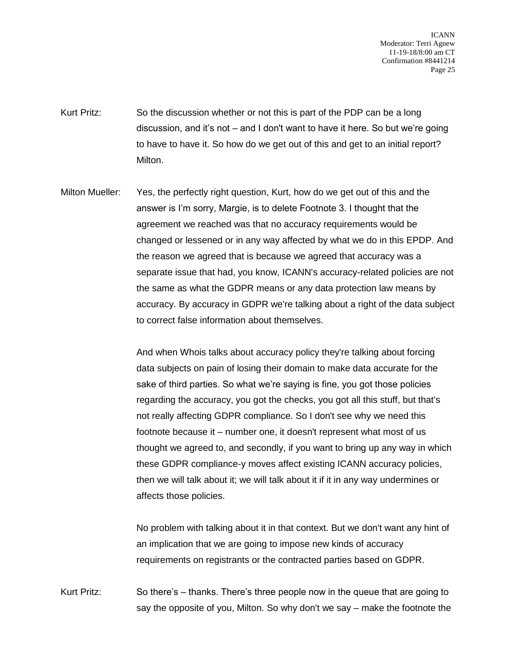- Kurt Pritz: So the discussion whether or not this is part of the PDP can be a long discussion, and it's not – and I don't want to have it here. So but we're going to have to have it. So how do we get out of this and get to an initial report? Milton.
- Milton Mueller: Yes, the perfectly right question, Kurt, how do we get out of this and the answer is I'm sorry, Margie, is to delete Footnote 3. I thought that the agreement we reached was that no accuracy requirements would be changed or lessened or in any way affected by what we do in this EPDP. And the reason we agreed that is because we agreed that accuracy was a separate issue that had, you know, ICANN's accuracy-related policies are not the same as what the GDPR means or any data protection law means by accuracy. By accuracy in GDPR we're talking about a right of the data subject to correct false information about themselves.

And when Whois talks about accuracy policy they're talking about forcing data subjects on pain of losing their domain to make data accurate for the sake of third parties. So what we're saying is fine, you got those policies regarding the accuracy, you got the checks, you got all this stuff, but that's not really affecting GDPR compliance. So I don't see why we need this footnote because it – number one, it doesn't represent what most of us thought we agreed to, and secondly, if you want to bring up any way in which these GDPR compliance-y moves affect existing ICANN accuracy policies, then we will talk about it; we will talk about it if it in any way undermines or affects those policies.

No problem with talking about it in that context. But we don't want any hint of an implication that we are going to impose new kinds of accuracy requirements on registrants or the contracted parties based on GDPR.

Kurt Pritz: So there's – thanks. There's three people now in the queue that are going to say the opposite of you, Milton. So why don't we say – make the footnote the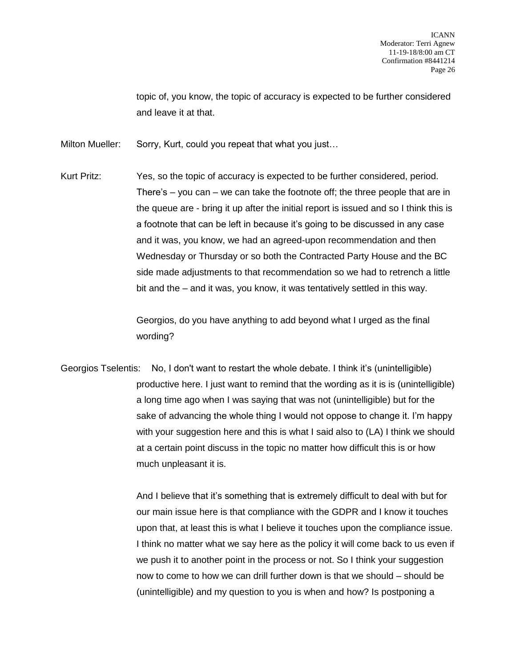topic of, you know, the topic of accuracy is expected to be further considered and leave it at that.

Milton Mueller: Sorry, Kurt, could you repeat that what you just…

Kurt Pritz: Yes, so the topic of accuracy is expected to be further considered, period. There's – you can – we can take the footnote off; the three people that are in the queue are - bring it up after the initial report is issued and so I think this is a footnote that can be left in because it's going to be discussed in any case and it was, you know, we had an agreed-upon recommendation and then Wednesday or Thursday or so both the Contracted Party House and the BC side made adjustments to that recommendation so we had to retrench a little bit and the – and it was, you know, it was tentatively settled in this way.

> Georgios, do you have anything to add beyond what I urged as the final wording?

Georgios Tselentis: No, I don't want to restart the whole debate. I think it's (unintelligible) productive here. I just want to remind that the wording as it is is (unintelligible) a long time ago when I was saying that was not (unintelligible) but for the sake of advancing the whole thing I would not oppose to change it. I'm happy with your suggestion here and this is what I said also to (LA) I think we should at a certain point discuss in the topic no matter how difficult this is or how much unpleasant it is.

> And I believe that it's something that is extremely difficult to deal with but for our main issue here is that compliance with the GDPR and I know it touches upon that, at least this is what I believe it touches upon the compliance issue. I think no matter what we say here as the policy it will come back to us even if we push it to another point in the process or not. So I think your suggestion now to come to how we can drill further down is that we should – should be (unintelligible) and my question to you is when and how? Is postponing a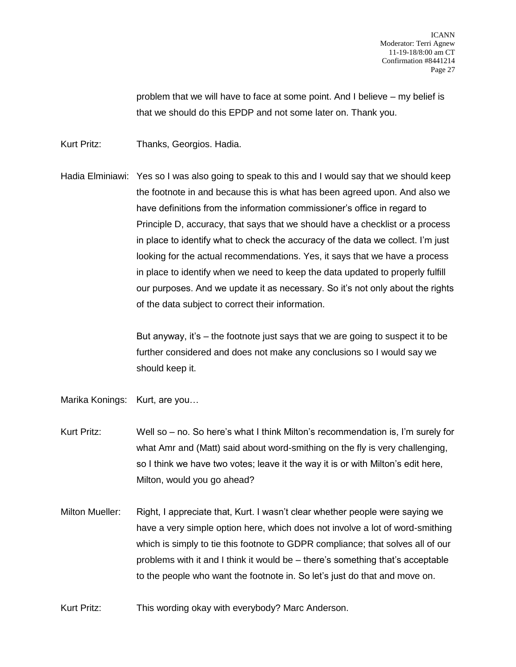problem that we will have to face at some point. And I believe – my belief is that we should do this EPDP and not some later on. Thank you.

Kurt Pritz: Thanks, Georgios. Hadia.

Hadia Elminiawi: Yes so I was also going to speak to this and I would say that we should keep the footnote in and because this is what has been agreed upon. And also we have definitions from the information commissioner's office in regard to Principle D, accuracy, that says that we should have a checklist or a process in place to identify what to check the accuracy of the data we collect. I'm just looking for the actual recommendations. Yes, it says that we have a process in place to identify when we need to keep the data updated to properly fulfill our purposes. And we update it as necessary. So it's not only about the rights of the data subject to correct their information.

> But anyway, it's – the footnote just says that we are going to suspect it to be further considered and does not make any conclusions so I would say we should keep it.

- Marika Konings: Kurt, are you…
- Kurt Pritz: Well so no. So here's what I think Milton's recommendation is, I'm surely for what Amr and (Matt) said about word-smithing on the fly is very challenging, so I think we have two votes; leave it the way it is or with Milton's edit here, Milton, would you go ahead?
- Milton Mueller: Right, I appreciate that, Kurt. I wasn't clear whether people were saying we have a very simple option here, which does not involve a lot of word-smithing which is simply to tie this footnote to GDPR compliance; that solves all of our problems with it and I think it would be – there's something that's acceptable to the people who want the footnote in. So let's just do that and move on.

Kurt Pritz: This wording okay with everybody? Marc Anderson.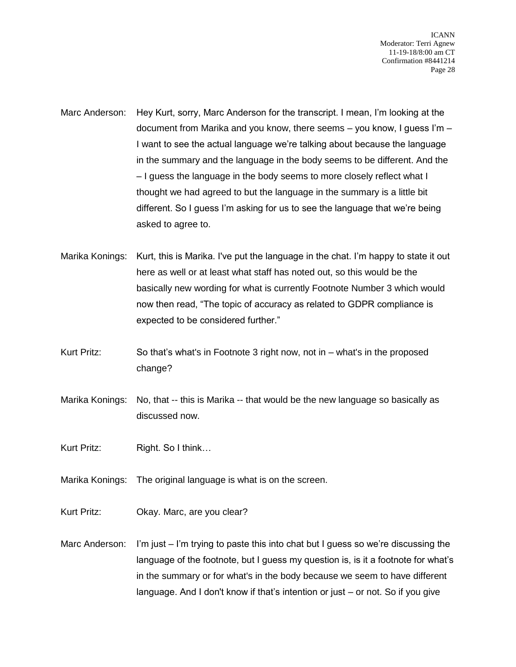- Marc Anderson: Hey Kurt, sorry, Marc Anderson for the transcript. I mean, I'm looking at the document from Marika and you know, there seems – you know, I guess I'm – I want to see the actual language we're talking about because the language in the summary and the language in the body seems to be different. And the – I guess the language in the body seems to more closely reflect what I thought we had agreed to but the language in the summary is a little bit different. So I guess I'm asking for us to see the language that we're being asked to agree to.
- Marika Konings: Kurt, this is Marika. I've put the language in the chat. I'm happy to state it out here as well or at least what staff has noted out, so this would be the basically new wording for what is currently Footnote Number 3 which would now then read, "The topic of accuracy as related to GDPR compliance is expected to be considered further."
- Kurt Pritz: So that's what's in Footnote 3 right now, not in what's in the proposed change?
- Marika Konings: No, that -- this is Marika -- that would be the new language so basically as discussed now.
- Kurt Pritz: Right. So I think...
- Marika Konings: The original language is what is on the screen.
- Kurt Pritz: Okay. Marc, are you clear?
- Marc Anderson: I'm just I'm trying to paste this into chat but I guess so we're discussing the language of the footnote, but I guess my question is, is it a footnote for what's in the summary or for what's in the body because we seem to have different language. And I don't know if that's intention or just – or not. So if you give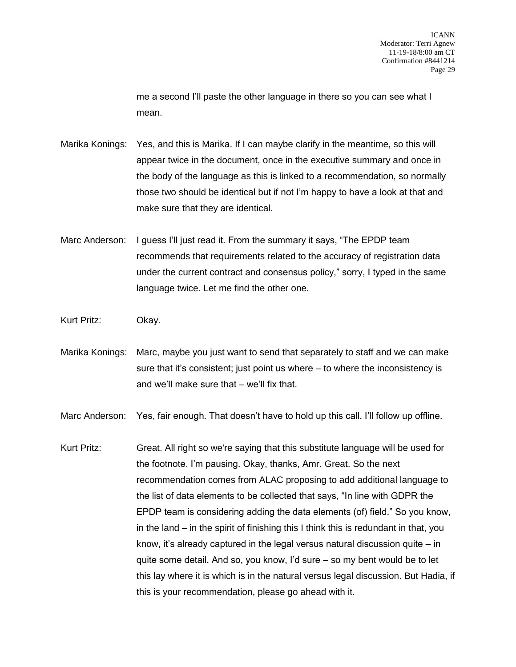me a second I'll paste the other language in there so you can see what I mean.

- Marika Konings: Yes, and this is Marika. If I can maybe clarify in the meantime, so this will appear twice in the document, once in the executive summary and once in the body of the language as this is linked to a recommendation, so normally those two should be identical but if not I'm happy to have a look at that and make sure that they are identical.
- Marc Anderson: I guess I'll just read it. From the summary it says, "The EPDP team recommends that requirements related to the accuracy of registration data under the current contract and consensus policy," sorry, I typed in the same language twice. Let me find the other one.
- Kurt Pritz: Okay.
- Marika Konings: Marc, maybe you just want to send that separately to staff and we can make sure that it's consistent; just point us where – to where the inconsistency is and we'll make sure that – we'll fix that.

Marc Anderson: Yes, fair enough. That doesn't have to hold up this call. I'll follow up offline.

Kurt Pritz: Great. All right so we're saying that this substitute language will be used for the footnote. I'm pausing. Okay, thanks, Amr. Great. So the next recommendation comes from ALAC proposing to add additional language to the list of data elements to be collected that says, "In line with GDPR the EPDP team is considering adding the data elements (of) field." So you know, in the land – in the spirit of finishing this I think this is redundant in that, you know, it's already captured in the legal versus natural discussion quite – in quite some detail. And so, you know, I'd sure – so my bent would be to let this lay where it is which is in the natural versus legal discussion. But Hadia, if this is your recommendation, please go ahead with it.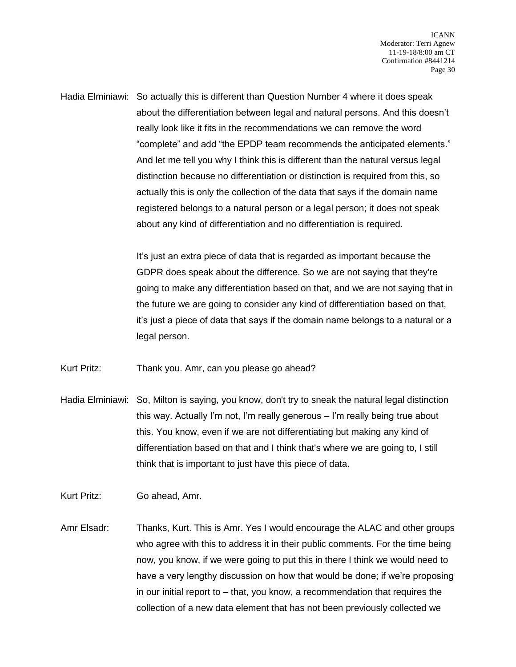Hadia Elminiawi: So actually this is different than Question Number 4 where it does speak about the differentiation between legal and natural persons. And this doesn't really look like it fits in the recommendations we can remove the word "complete" and add "the EPDP team recommends the anticipated elements." And let me tell you why I think this is different than the natural versus legal distinction because no differentiation or distinction is required from this, so actually this is only the collection of the data that says if the domain name registered belongs to a natural person or a legal person; it does not speak about any kind of differentiation and no differentiation is required.

> It's just an extra piece of data that is regarded as important because the GDPR does speak about the difference. So we are not saying that they're going to make any differentiation based on that, and we are not saying that in the future we are going to consider any kind of differentiation based on that, it's just a piece of data that says if the domain name belongs to a natural or a legal person.

Kurt Pritz: Thank you. Amr, can you please go ahead?

- Hadia Elminiawi: So, Milton is saying, you know, don't try to sneak the natural legal distinction this way. Actually I'm not, I'm really generous – I'm really being true about this. You know, even if we are not differentiating but making any kind of differentiation based on that and I think that's where we are going to, I still think that is important to just have this piece of data.
- Kurt Pritz: Go ahead, Amr.
- Amr Elsadr: Thanks, Kurt. This is Amr. Yes I would encourage the ALAC and other groups who agree with this to address it in their public comments. For the time being now, you know, if we were going to put this in there I think we would need to have a very lengthy discussion on how that would be done; if we're proposing in our initial report to – that, you know, a recommendation that requires the collection of a new data element that has not been previously collected we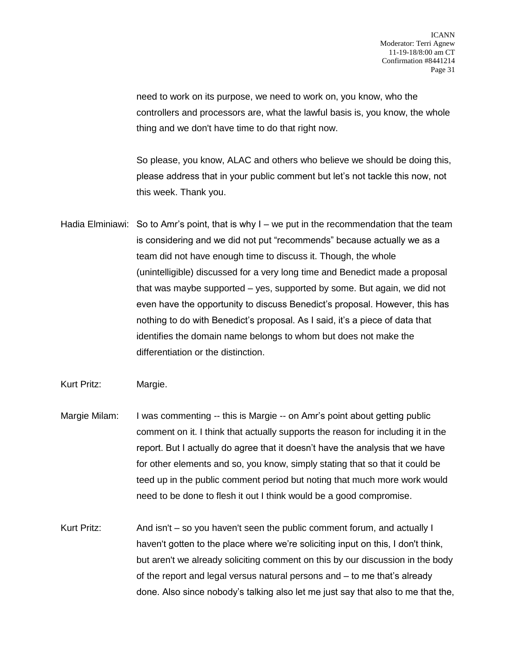need to work on its purpose, we need to work on, you know, who the controllers and processors are, what the lawful basis is, you know, the whole thing and we don't have time to do that right now.

So please, you know, ALAC and others who believe we should be doing this, please address that in your public comment but let's not tackle this now, not this week. Thank you.

- Hadia Elminiawi: So to Amr's point, that is why I we put in the recommendation that the team is considering and we did not put "recommends" because actually we as a team did not have enough time to discuss it. Though, the whole (unintelligible) discussed for a very long time and Benedict made a proposal that was maybe supported – yes, supported by some. But again, we did not even have the opportunity to discuss Benedict's proposal. However, this has nothing to do with Benedict's proposal. As I said, it's a piece of data that identifies the domain name belongs to whom but does not make the differentiation or the distinction.
- Kurt Pritz: Margie.
- Margie Milam: I was commenting -- this is Margie -- on Amr's point about getting public comment on it. I think that actually supports the reason for including it in the report. But I actually do agree that it doesn't have the analysis that we have for other elements and so, you know, simply stating that so that it could be teed up in the public comment period but noting that much more work would need to be done to flesh it out I think would be a good compromise.
- Kurt Pritz: And isn't so you haven't seen the public comment forum, and actually I haven't gotten to the place where we're soliciting input on this, I don't think, but aren't we already soliciting comment on this by our discussion in the body of the report and legal versus natural persons and – to me that's already done. Also since nobody's talking also let me just say that also to me that the,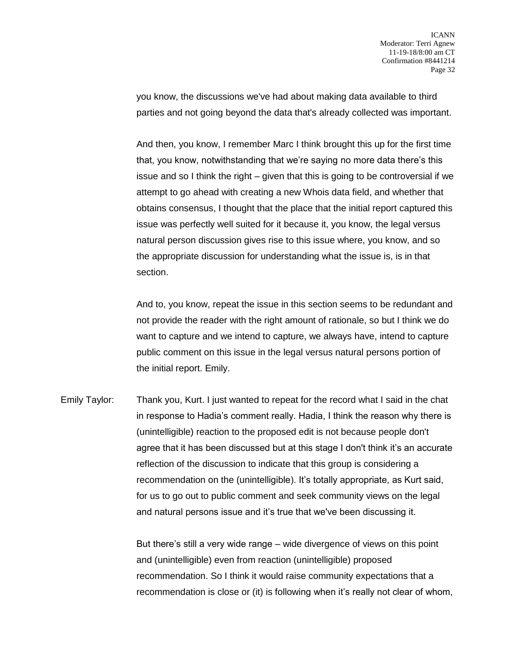you know, the discussions we've had about making data available to third parties and not going beyond the data that's already collected was important.

And then, you know, I remember Marc I think brought this up for the first time that, you know, notwithstanding that we're saying no more data there's this issue and so I think the right – given that this is going to be controversial if we attempt to go ahead with creating a new Whois data field, and whether that obtains consensus, I thought that the place that the initial report captured this issue was perfectly well suited for it because it, you know, the legal versus natural person discussion gives rise to this issue where, you know, and so the appropriate discussion for understanding what the issue is, is in that section.

And to, you know, repeat the issue in this section seems to be redundant and not provide the reader with the right amount of rationale, so but I think we do want to capture and we intend to capture, we always have, intend to capture public comment on this issue in the legal versus natural persons portion of the initial report. Emily.

Emily Taylor: Thank you, Kurt. I just wanted to repeat for the record what I said in the chat in response to Hadia's comment really. Hadia, I think the reason why there is (unintelligible) reaction to the proposed edit is not because people don't agree that it has been discussed but at this stage I don't think it's an accurate reflection of the discussion to indicate that this group is considering a recommendation on the (unintelligible). It's totally appropriate, as Kurt said, for us to go out to public comment and seek community views on the legal and natural persons issue and it's true that we've been discussing it.

> But there's still a very wide range – wide divergence of views on this point and (unintelligible) even from reaction (unintelligible) proposed recommendation. So I think it would raise community expectations that a recommendation is close or (it) is following when it's really not clear of whom,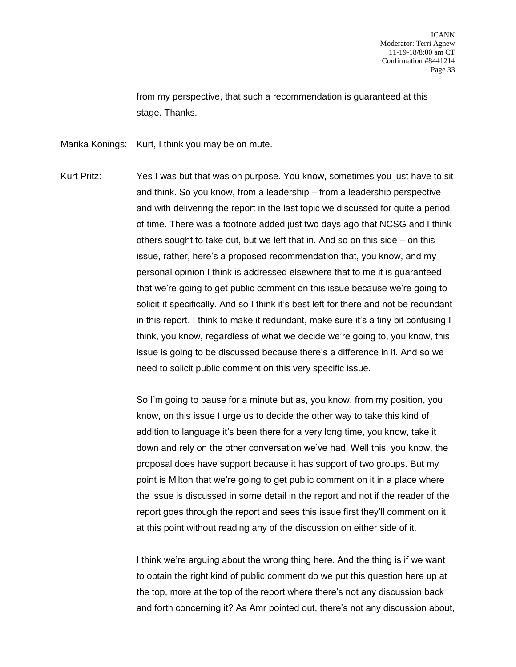from my perspective, that such a recommendation is guaranteed at this stage. Thanks.

Marika Konings: Kurt, I think you may be on mute.

Kurt Pritz: Yes I was but that was on purpose. You know, sometimes you just have to sit and think. So you know, from a leadership – from a leadership perspective and with delivering the report in the last topic we discussed for quite a period of time. There was a footnote added just two days ago that NCSG and I think others sought to take out, but we left that in. And so on this side – on this issue, rather, here's a proposed recommendation that, you know, and my personal opinion I think is addressed elsewhere that to me it is guaranteed that we're going to get public comment on this issue because we're going to solicit it specifically. And so I think it's best left for there and not be redundant in this report. I think to make it redundant, make sure it's a tiny bit confusing I think, you know, regardless of what we decide we're going to, you know, this issue is going to be discussed because there's a difference in it. And so we need to solicit public comment on this very specific issue.

> So I'm going to pause for a minute but as, you know, from my position, you know, on this issue I urge us to decide the other way to take this kind of addition to language it's been there for a very long time, you know, take it down and rely on the other conversation we've had. Well this, you know, the proposal does have support because it has support of two groups. But my point is Milton that we're going to get public comment on it in a place where the issue is discussed in some detail in the report and not if the reader of the report goes through the report and sees this issue first they'll comment on it at this point without reading any of the discussion on either side of it.

I think we're arguing about the wrong thing here. And the thing is if we want to obtain the right kind of public comment do we put this question here up at the top, more at the top of the report where there's not any discussion back and forth concerning it? As Amr pointed out, there's not any discussion about,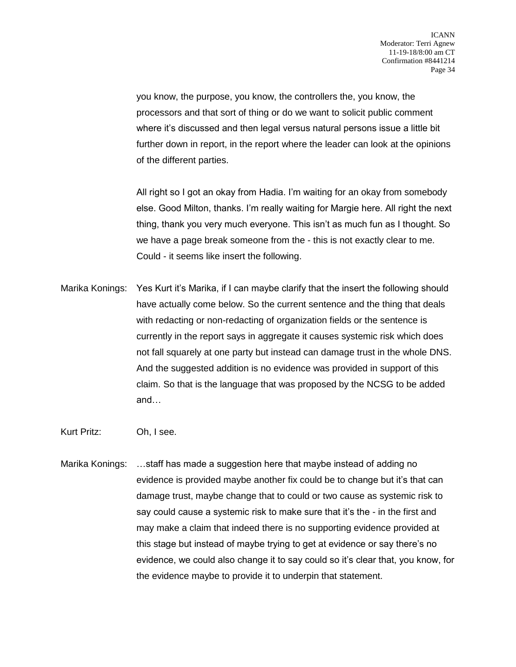you know, the purpose, you know, the controllers the, you know, the processors and that sort of thing or do we want to solicit public comment where it's discussed and then legal versus natural persons issue a little bit further down in report, in the report where the leader can look at the opinions of the different parties.

All right so I got an okay from Hadia. I'm waiting for an okay from somebody else. Good Milton, thanks. I'm really waiting for Margie here. All right the next thing, thank you very much everyone. This isn't as much fun as I thought. So we have a page break someone from the - this is not exactly clear to me. Could - it seems like insert the following.

Marika Konings: Yes Kurt it's Marika, if I can maybe clarify that the insert the following should have actually come below. So the current sentence and the thing that deals with redacting or non-redacting of organization fields or the sentence is currently in the report says in aggregate it causes systemic risk which does not fall squarely at one party but instead can damage trust in the whole DNS. And the suggested addition is no evidence was provided in support of this claim. So that is the language that was proposed by the NCSG to be added and…

Kurt Pritz: Oh, I see.

Marika Konings: …staff has made a suggestion here that maybe instead of adding no evidence is provided maybe another fix could be to change but it's that can damage trust, maybe change that to could or two cause as systemic risk to say could cause a systemic risk to make sure that it's the - in the first and may make a claim that indeed there is no supporting evidence provided at this stage but instead of maybe trying to get at evidence or say there's no evidence, we could also change it to say could so it's clear that, you know, for the evidence maybe to provide it to underpin that statement.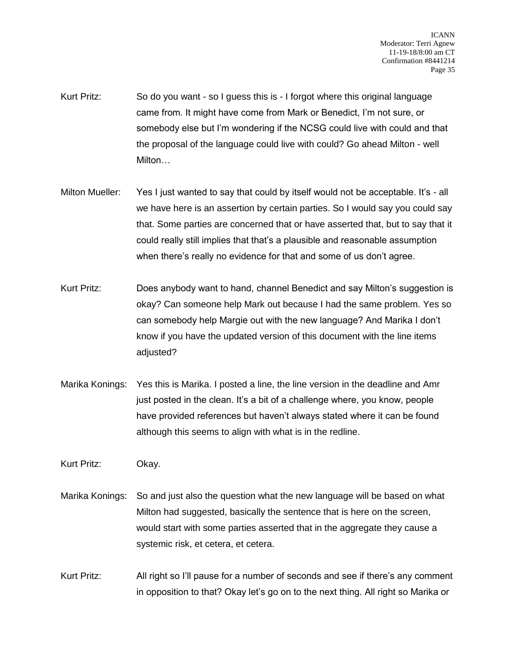- Kurt Pritz: So do you want so I guess this is I forgot where this original language came from. It might have come from Mark or Benedict, I'm not sure, or somebody else but I'm wondering if the NCSG could live with could and that the proposal of the language could live with could? Go ahead Milton - well Milton…
- Milton Mueller: Yes I just wanted to say that could by itself would not be acceptable. It's all we have here is an assertion by certain parties. So I would say you could say that. Some parties are concerned that or have asserted that, but to say that it could really still implies that that's a plausible and reasonable assumption when there's really no evidence for that and some of us don't agree.
- Kurt Pritz: Does anybody want to hand, channel Benedict and say Milton's suggestion is okay? Can someone help Mark out because I had the same problem. Yes so can somebody help Margie out with the new language? And Marika I don't know if you have the updated version of this document with the line items adjusted?
- Marika Konings: Yes this is Marika. I posted a line, the line version in the deadline and Amr just posted in the clean. It's a bit of a challenge where, you know, people have provided references but haven't always stated where it can be found although this seems to align with what is in the redline.
- Kurt Pritz: Okay.
- Marika Konings: So and just also the question what the new language will be based on what Milton had suggested, basically the sentence that is here on the screen, would start with some parties asserted that in the aggregate they cause a systemic risk, et cetera, et cetera.
- Kurt Pritz: All right so I'll pause for a number of seconds and see if there's any comment in opposition to that? Okay let's go on to the next thing. All right so Marika or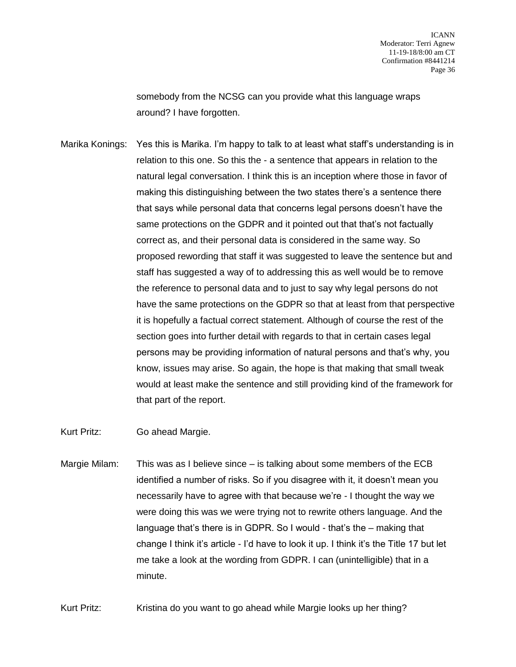somebody from the NCSG can you provide what this language wraps around? I have forgotten.

Marika Konings: Yes this is Marika. I'm happy to talk to at least what staff's understanding is in relation to this one. So this the - a sentence that appears in relation to the natural legal conversation. I think this is an inception where those in favor of making this distinguishing between the two states there's a sentence there that says while personal data that concerns legal persons doesn't have the same protections on the GDPR and it pointed out that that's not factually correct as, and their personal data is considered in the same way. So proposed rewording that staff it was suggested to leave the sentence but and staff has suggested a way of to addressing this as well would be to remove the reference to personal data and to just to say why legal persons do not have the same protections on the GDPR so that at least from that perspective it is hopefully a factual correct statement. Although of course the rest of the section goes into further detail with regards to that in certain cases legal persons may be providing information of natural persons and that's why, you know, issues may arise. So again, the hope is that making that small tweak would at least make the sentence and still providing kind of the framework for that part of the report.

Kurt Pritz: Go ahead Margie.

Margie Milam: This was as I believe since – is talking about some members of the ECB identified a number of risks. So if you disagree with it, it doesn't mean you necessarily have to agree with that because we're - I thought the way we were doing this was we were trying not to rewrite others language. And the language that's there is in GDPR. So I would - that's the – making that change I think it's article - I'd have to look it up. I think it's the Title 17 but let me take a look at the wording from GDPR. I can (unintelligible) that in a minute.

Kurt Pritz: Kristina do you want to go ahead while Margie looks up her thing?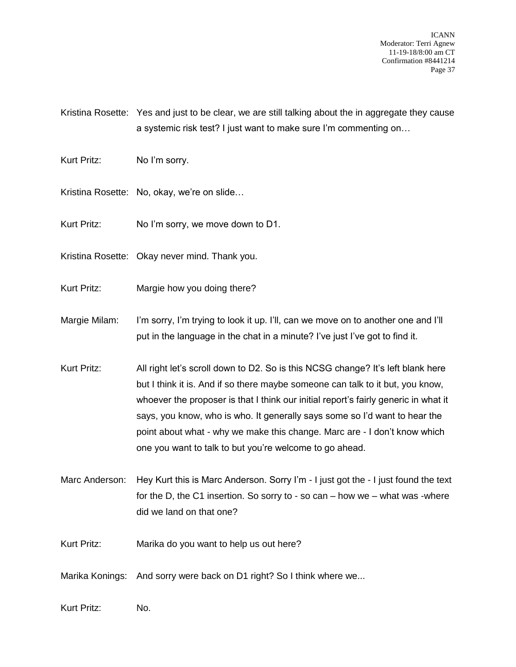Kristina Rosette: Yes and just to be clear, we are still talking about the in aggregate they cause a systemic risk test? I just want to make sure I'm commenting on…

- Kurt Pritz: No I'm sorry.
- Kristina Rosette: No, okay, we're on slide…
- Kurt Pritz: No I'm sorry, we move down to D1.
- Kristina Rosette: Okay never mind. Thank you.
- Kurt Pritz: Margie how you doing there?
- Margie Milam: I'm sorry, I'm trying to look it up. I'll, can we move on to another one and I'll put in the language in the chat in a minute? I've just I've got to find it.
- Kurt Pritz: All right let's scroll down to D2. So is this NCSG change? It's left blank here but I think it is. And if so there maybe someone can talk to it but, you know, whoever the proposer is that I think our initial report's fairly generic in what it says, you know, who is who. It generally says some so I'd want to hear the point about what - why we make this change. Marc are - I don't know which one you want to talk to but you're welcome to go ahead.
- Marc Anderson: Hey Kurt this is Marc Anderson. Sorry I'm I just got the I just found the text for the D, the C1 insertion. So sorry to - so can – how we – what was -where did we land on that one?
- Kurt Pritz: Marika do you want to help us out here?
- Marika Konings: And sorry were back on D1 right? So I think where we...

Kurt Pritz: No.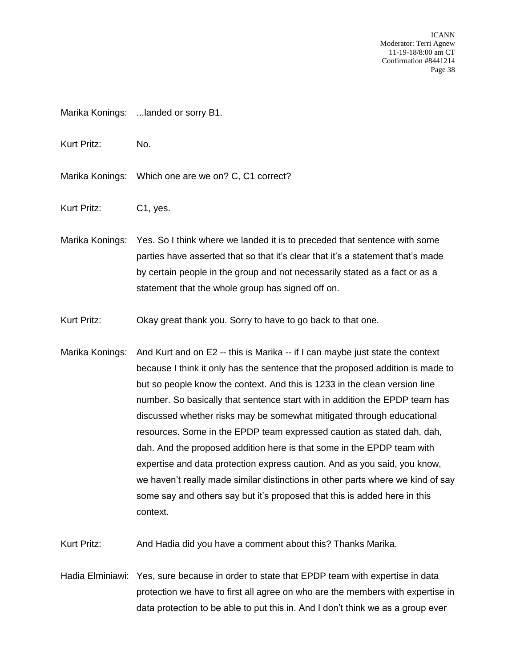Marika Konings: ...landed or sorry B1.

Kurt Pritz: No.

Marika Konings: Which one are we on? C, C1 correct?

Kurt Pritz: C1, yes.

Marika Konings: Yes. So I think where we landed it is to preceded that sentence with some parties have asserted that so that it's clear that it's a statement that's made by certain people in the group and not necessarily stated as a fact or as a statement that the whole group has signed off on.

Kurt Pritz: Okay great thank you. Sorry to have to go back to that one.

Marika Konings: And Kurt and on E2 -- this is Marika -- if I can maybe just state the context because I think it only has the sentence that the proposed addition is made to but so people know the context. And this is 1233 in the clean version line number. So basically that sentence start with in addition the EPDP team has discussed whether risks may be somewhat mitigated through educational resources. Some in the EPDP team expressed caution as stated dah, dah, dah. And the proposed addition here is that some in the EPDP team with expertise and data protection express caution. And as you said, you know, we haven't really made similar distinctions in other parts where we kind of say some say and others say but it's proposed that this is added here in this context.

Kurt Pritz: And Hadia did you have a comment about this? Thanks Marika.

Hadia Elminiawi: Yes, sure because in order to state that EPDP team with expertise in data protection we have to first all agree on who are the members with expertise in data protection to be able to put this in. And I don't think we as a group ever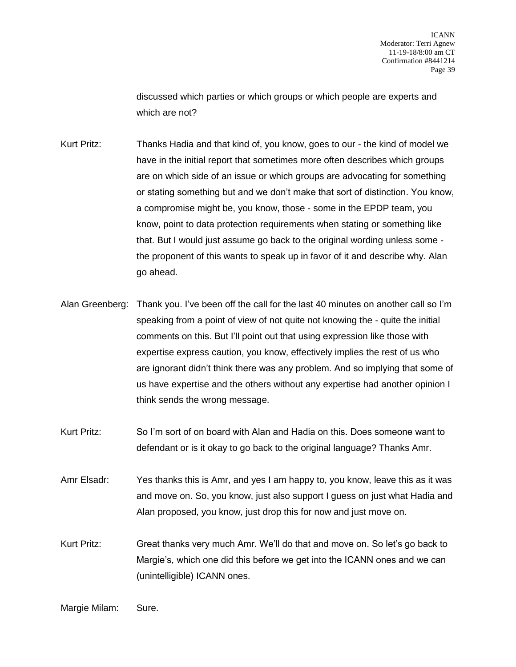discussed which parties or which groups or which people are experts and which are not?

Kurt Pritz: Thanks Hadia and that kind of, you know, goes to our - the kind of model we have in the initial report that sometimes more often describes which groups are on which side of an issue or which groups are advocating for something or stating something but and we don't make that sort of distinction. You know, a compromise might be, you know, those - some in the EPDP team, you know, point to data protection requirements when stating or something like that. But I would just assume go back to the original wording unless some the proponent of this wants to speak up in favor of it and describe why. Alan go ahead.

- Alan Greenberg: Thank you. I've been off the call for the last 40 minutes on another call so I'm speaking from a point of view of not quite not knowing the - quite the initial comments on this. But I'll point out that using expression like those with expertise express caution, you know, effectively implies the rest of us who are ignorant didn't think there was any problem. And so implying that some of us have expertise and the others without any expertise had another opinion I think sends the wrong message.
- Kurt Pritz: So I'm sort of on board with Alan and Hadia on this. Does someone want to defendant or is it okay to go back to the original language? Thanks Amr.
- Amr Elsadr: Yes thanks this is Amr, and yes I am happy to, you know, leave this as it was and move on. So, you know, just also support I guess on just what Hadia and Alan proposed, you know, just drop this for now and just move on.
- Kurt Pritz: Great thanks very much Amr. We'll do that and move on. So let's go back to Margie's, which one did this before we get into the ICANN ones and we can (unintelligible) ICANN ones.

Margie Milam: Sure.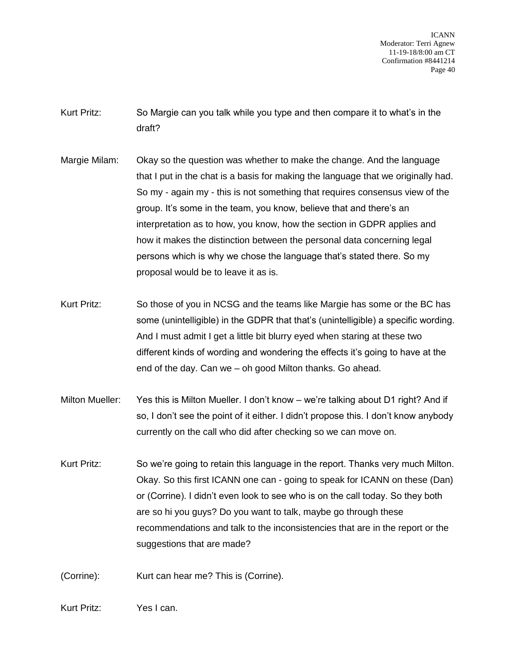- Kurt Pritz: So Margie can you talk while you type and then compare it to what's in the draft?
- Margie Milam: Okay so the question was whether to make the change. And the language that I put in the chat is a basis for making the language that we originally had. So my - again my - this is not something that requires consensus view of the group. It's some in the team, you know, believe that and there's an interpretation as to how, you know, how the section in GDPR applies and how it makes the distinction between the personal data concerning legal persons which is why we chose the language that's stated there. So my proposal would be to leave it as is.
- Kurt Pritz: So those of you in NCSG and the teams like Margie has some or the BC has some (unintelligible) in the GDPR that that's (unintelligible) a specific wording. And I must admit I get a little bit blurry eyed when staring at these two different kinds of wording and wondering the effects it's going to have at the end of the day. Can we – oh good Milton thanks. Go ahead.
- Milton Mueller: Yes this is Milton Mueller. I don't know we're talking about D1 right? And if so, I don't see the point of it either. I didn't propose this. I don't know anybody currently on the call who did after checking so we can move on.
- Kurt Pritz: So we're going to retain this language in the report. Thanks very much Milton. Okay. So this first ICANN one can - going to speak for ICANN on these (Dan) or (Corrine). I didn't even look to see who is on the call today. So they both are so hi you guys? Do you want to talk, maybe go through these recommendations and talk to the inconsistencies that are in the report or the suggestions that are made?
- (Corrine): Kurt can hear me? This is (Corrine).

Kurt Pritz: Yes I can.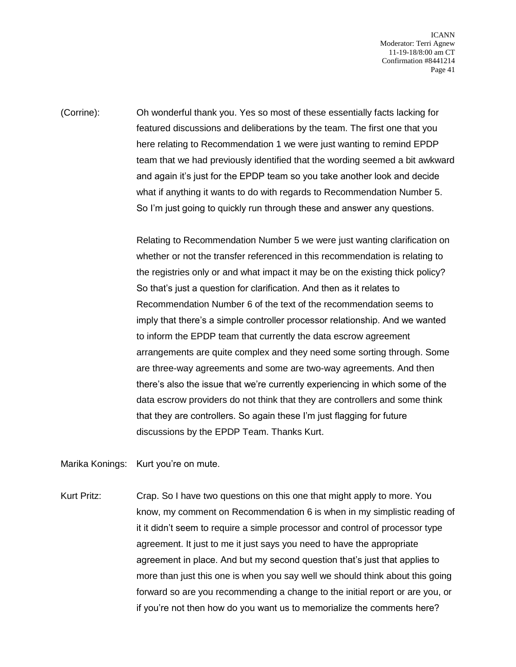(Corrine): Oh wonderful thank you. Yes so most of these essentially facts lacking for featured discussions and deliberations by the team. The first one that you here relating to Recommendation 1 we were just wanting to remind EPDP team that we had previously identified that the wording seemed a bit awkward and again it's just for the EPDP team so you take another look and decide what if anything it wants to do with regards to Recommendation Number 5. So I'm just going to quickly run through these and answer any questions.

> Relating to Recommendation Number 5 we were just wanting clarification on whether or not the transfer referenced in this recommendation is relating to the registries only or and what impact it may be on the existing thick policy? So that's just a question for clarification. And then as it relates to Recommendation Number 6 of the text of the recommendation seems to imply that there's a simple controller processor relationship. And we wanted to inform the EPDP team that currently the data escrow agreement arrangements are quite complex and they need some sorting through. Some are three-way agreements and some are two-way agreements. And then there's also the issue that we're currently experiencing in which some of the data escrow providers do not think that they are controllers and some think that they are controllers. So again these I'm just flagging for future discussions by the EPDP Team. Thanks Kurt.

Marika Konings: Kurt you're on mute.

Kurt Pritz: Crap. So I have two questions on this one that might apply to more. You know, my comment on Recommendation 6 is when in my simplistic reading of it it didn't seem to require a simple processor and control of processor type agreement. It just to me it just says you need to have the appropriate agreement in place. And but my second question that's just that applies to more than just this one is when you say well we should think about this going forward so are you recommending a change to the initial report or are you, or if you're not then how do you want us to memorialize the comments here?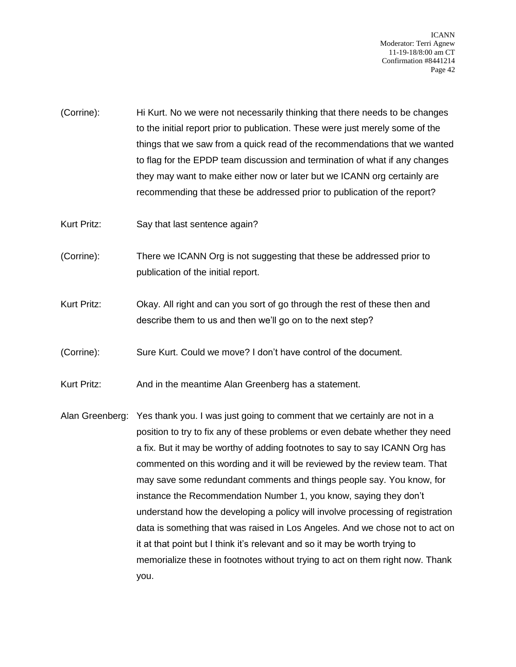- (Corrine): Hi Kurt. No we were not necessarily thinking that there needs to be changes to the initial report prior to publication. These were just merely some of the things that we saw from a quick read of the recommendations that we wanted to flag for the EPDP team discussion and termination of what if any changes they may want to make either now or later but we ICANN org certainly are recommending that these be addressed prior to publication of the report?
- Kurt Pritz: Say that last sentence again?
- (Corrine): There we ICANN Org is not suggesting that these be addressed prior to publication of the initial report.
- Kurt Pritz: Okay. All right and can you sort of go through the rest of these then and describe them to us and then we'll go on to the next step?
- (Corrine): Sure Kurt. Could we move? I don't have control of the document.
- Kurt Pritz: And in the meantime Alan Greenberg has a statement.
- Alan Greenberg: Yes thank you. I was just going to comment that we certainly are not in a position to try to fix any of these problems or even debate whether they need a fix. But it may be worthy of adding footnotes to say to say ICANN Org has commented on this wording and it will be reviewed by the review team. That may save some redundant comments and things people say. You know, for instance the Recommendation Number 1, you know, saying they don't understand how the developing a policy will involve processing of registration data is something that was raised in Los Angeles. And we chose not to act on it at that point but I think it's relevant and so it may be worth trying to memorialize these in footnotes without trying to act on them right now. Thank you.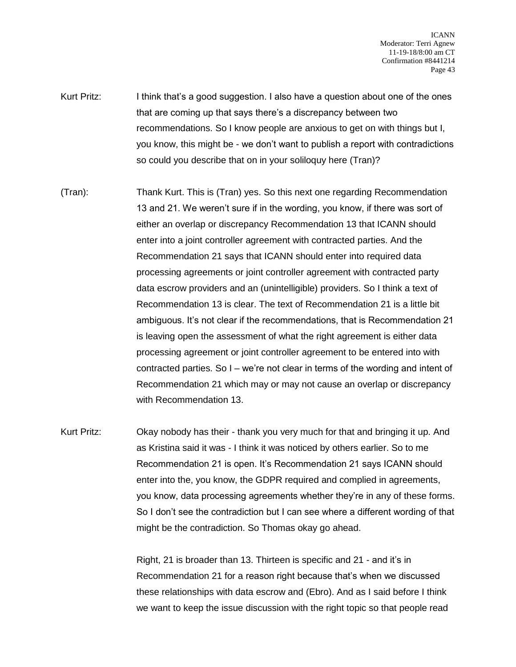- Kurt Pritz: I think that's a good suggestion. I also have a question about one of the ones that are coming up that says there's a discrepancy between two recommendations. So I know people are anxious to get on with things but I, you know, this might be - we don't want to publish a report with contradictions so could you describe that on in your soliloquy here (Tran)?
- (Tran): Thank Kurt. This is (Tran) yes. So this next one regarding Recommendation 13 and 21. We weren't sure if in the wording, you know, if there was sort of either an overlap or discrepancy Recommendation 13 that ICANN should enter into a joint controller agreement with contracted parties. And the Recommendation 21 says that ICANN should enter into required data processing agreements or joint controller agreement with contracted party data escrow providers and an (unintelligible) providers. So I think a text of Recommendation 13 is clear. The text of Recommendation 21 is a little bit ambiguous. It's not clear if the recommendations, that is Recommendation 21 is leaving open the assessment of what the right agreement is either data processing agreement or joint controller agreement to be entered into with contracted parties. So I – we're not clear in terms of the wording and intent of Recommendation 21 which may or may not cause an overlap or discrepancy with Recommendation 13.
- Kurt Pritz: Okay nobody has their thank you very much for that and bringing it up. And as Kristina said it was - I think it was noticed by others earlier. So to me Recommendation 21 is open. It's Recommendation 21 says ICANN should enter into the, you know, the GDPR required and complied in agreements, you know, data processing agreements whether they're in any of these forms. So I don't see the contradiction but I can see where a different wording of that might be the contradiction. So Thomas okay go ahead.

Right, 21 is broader than 13. Thirteen is specific and 21 - and it's in Recommendation 21 for a reason right because that's when we discussed these relationships with data escrow and (Ebro). And as I said before I think we want to keep the issue discussion with the right topic so that people read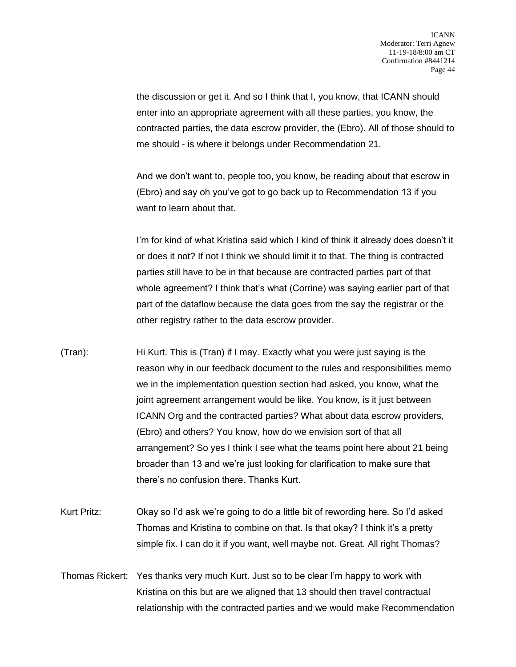the discussion or get it. And so I think that I, you know, that ICANN should enter into an appropriate agreement with all these parties, you know, the contracted parties, the data escrow provider, the (Ebro). All of those should to me should - is where it belongs under Recommendation 21.

And we don't want to, people too, you know, be reading about that escrow in (Ebro) and say oh you've got to go back up to Recommendation 13 if you want to learn about that.

I'm for kind of what Kristina said which I kind of think it already does doesn't it or does it not? If not I think we should limit it to that. The thing is contracted parties still have to be in that because are contracted parties part of that whole agreement? I think that's what (Corrine) was saying earlier part of that part of the dataflow because the data goes from the say the registrar or the other registry rather to the data escrow provider.

- (Tran): Hi Kurt. This is (Tran) if I may. Exactly what you were just saying is the reason why in our feedback document to the rules and responsibilities memo we in the implementation question section had asked, you know, what the joint agreement arrangement would be like. You know, is it just between ICANN Org and the contracted parties? What about data escrow providers, (Ebro) and others? You know, how do we envision sort of that all arrangement? So yes I think I see what the teams point here about 21 being broader than 13 and we're just looking for clarification to make sure that there's no confusion there. Thanks Kurt.
- Kurt Pritz: Okay so I'd ask we're going to do a little bit of rewording here. So I'd asked Thomas and Kristina to combine on that. Is that okay? I think it's a pretty simple fix. I can do it if you want, well maybe not. Great. All right Thomas?
- Thomas Rickert: Yes thanks very much Kurt. Just so to be clear I'm happy to work with Kristina on this but are we aligned that 13 should then travel contractual relationship with the contracted parties and we would make Recommendation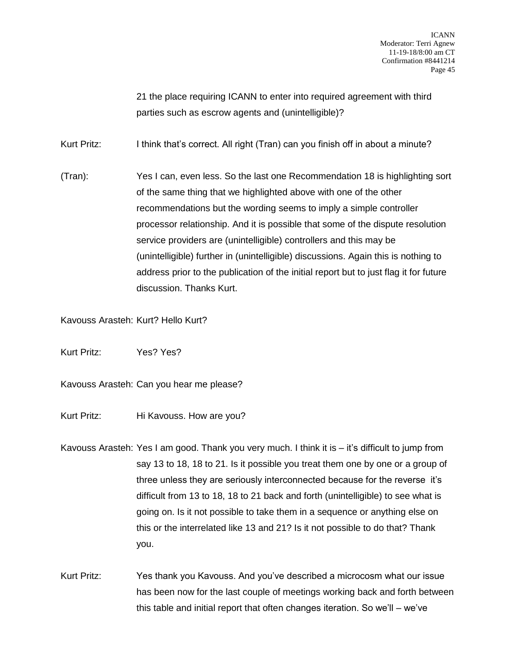21 the place requiring ICANN to enter into required agreement with third parties such as escrow agents and (unintelligible)?

Kurt Pritz: I think that's correct. All right (Tran) can you finish off in about a minute?

(Tran): Yes I can, even less. So the last one Recommendation 18 is highlighting sort of the same thing that we highlighted above with one of the other recommendations but the wording seems to imply a simple controller processor relationship. And it is possible that some of the dispute resolution service providers are (unintelligible) controllers and this may be (unintelligible) further in (unintelligible) discussions. Again this is nothing to address prior to the publication of the initial report but to just flag it for future discussion. Thanks Kurt.

Kavouss Arasteh: Kurt? Hello Kurt?

Kurt Pritz: Yes? Yes?

Kavouss Arasteh: Can you hear me please?

Kurt Pritz: Hi Kavouss. How are you?

- Kavouss Arasteh: Yes I am good. Thank you very much. I think it is it's difficult to jump from say 13 to 18, 18 to 21. Is it possible you treat them one by one or a group of three unless they are seriously interconnected because for the reverse it's difficult from 13 to 18, 18 to 21 back and forth (unintelligible) to see what is going on. Is it not possible to take them in a sequence or anything else on this or the interrelated like 13 and 21? Is it not possible to do that? Thank you.
- Kurt Pritz: Yes thank you Kavouss. And you've described a microcosm what our issue has been now for the last couple of meetings working back and forth between this table and initial report that often changes iteration. So we'll – we've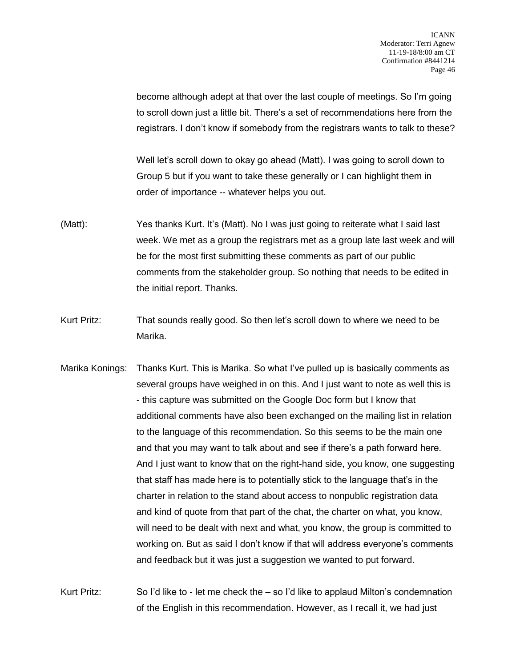become although adept at that over the last couple of meetings. So I'm going to scroll down just a little bit. There's a set of recommendations here from the registrars. I don't know if somebody from the registrars wants to talk to these?

Well let's scroll down to okay go ahead (Matt). I was going to scroll down to Group 5 but if you want to take these generally or I can highlight them in order of importance -- whatever helps you out.

- (Matt): Yes thanks Kurt. It's (Matt). No I was just going to reiterate what I said last week. We met as a group the registrars met as a group late last week and will be for the most first submitting these comments as part of our public comments from the stakeholder group. So nothing that needs to be edited in the initial report. Thanks.
- Kurt Pritz: That sounds really good. So then let's scroll down to where we need to be Marika.
- Marika Konings: Thanks Kurt. This is Marika. So what I've pulled up is basically comments as several groups have weighed in on this. And I just want to note as well this is - this capture was submitted on the Google Doc form but I know that additional comments have also been exchanged on the mailing list in relation to the language of this recommendation. So this seems to be the main one and that you may want to talk about and see if there's a path forward here. And I just want to know that on the right-hand side, you know, one suggesting that staff has made here is to potentially stick to the language that's in the charter in relation to the stand about access to nonpublic registration data and kind of quote from that part of the chat, the charter on what, you know, will need to be dealt with next and what, you know, the group is committed to working on. But as said I don't know if that will address everyone's comments and feedback but it was just a suggestion we wanted to put forward.

Kurt Pritz: So I'd like to - let me check the – so I'd like to applaud Milton's condemnation of the English in this recommendation. However, as I recall it, we had just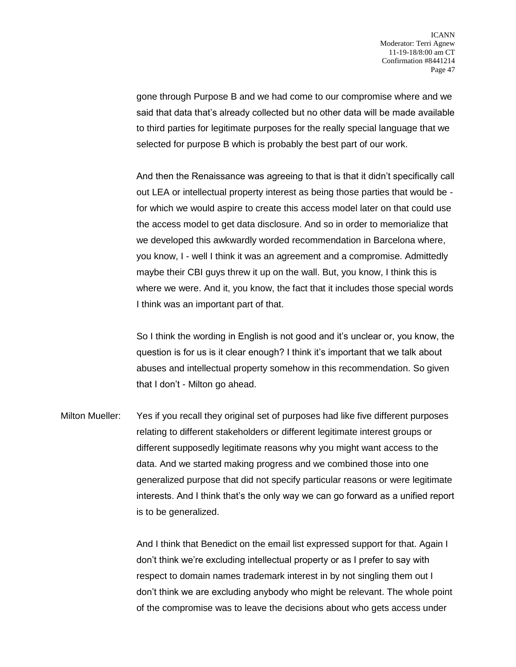gone through Purpose B and we had come to our compromise where and we said that data that's already collected but no other data will be made available to third parties for legitimate purposes for the really special language that we selected for purpose B which is probably the best part of our work.

And then the Renaissance was agreeing to that is that it didn't specifically call out LEA or intellectual property interest as being those parties that would be for which we would aspire to create this access model later on that could use the access model to get data disclosure. And so in order to memorialize that we developed this awkwardly worded recommendation in Barcelona where, you know, I - well I think it was an agreement and a compromise. Admittedly maybe their CBI guys threw it up on the wall. But, you know, I think this is where we were. And it, you know, the fact that it includes those special words I think was an important part of that.

So I think the wording in English is not good and it's unclear or, you know, the question is for us is it clear enough? I think it's important that we talk about abuses and intellectual property somehow in this recommendation. So given that I don't - Milton go ahead.

Milton Mueller: Yes if you recall they original set of purposes had like five different purposes relating to different stakeholders or different legitimate interest groups or different supposedly legitimate reasons why you might want access to the data. And we started making progress and we combined those into one generalized purpose that did not specify particular reasons or were legitimate interests. And I think that's the only way we can go forward as a unified report is to be generalized.

> And I think that Benedict on the email list expressed support for that. Again I don't think we're excluding intellectual property or as I prefer to say with respect to domain names trademark interest in by not singling them out I don't think we are excluding anybody who might be relevant. The whole point of the compromise was to leave the decisions about who gets access under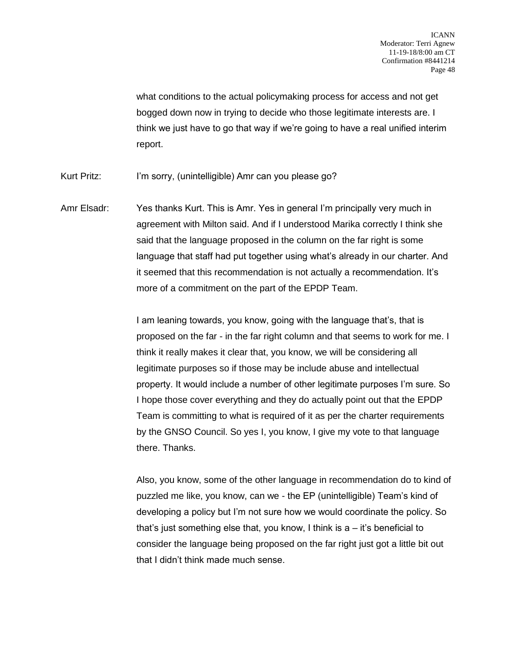what conditions to the actual policymaking process for access and not get bogged down now in trying to decide who those legitimate interests are. I think we just have to go that way if we're going to have a real unified interim report.

Kurt Pritz: I'm sorry, (unintelligible) Amr can you please go?

Amr Elsadr: Yes thanks Kurt. This is Amr. Yes in general I'm principally very much in agreement with Milton said. And if I understood Marika correctly I think she said that the language proposed in the column on the far right is some language that staff had put together using what's already in our charter. And it seemed that this recommendation is not actually a recommendation. It's more of a commitment on the part of the EPDP Team.

> I am leaning towards, you know, going with the language that's, that is proposed on the far - in the far right column and that seems to work for me. I think it really makes it clear that, you know, we will be considering all legitimate purposes so if those may be include abuse and intellectual property. It would include a number of other legitimate purposes I'm sure. So I hope those cover everything and they do actually point out that the EPDP Team is committing to what is required of it as per the charter requirements by the GNSO Council. So yes I, you know, I give my vote to that language there. Thanks.

> Also, you know, some of the other language in recommendation do to kind of puzzled me like, you know, can we - the EP (unintelligible) Team's kind of developing a policy but I'm not sure how we would coordinate the policy. So that's just something else that, you know, I think is a – it's beneficial to consider the language being proposed on the far right just got a little bit out that I didn't think made much sense.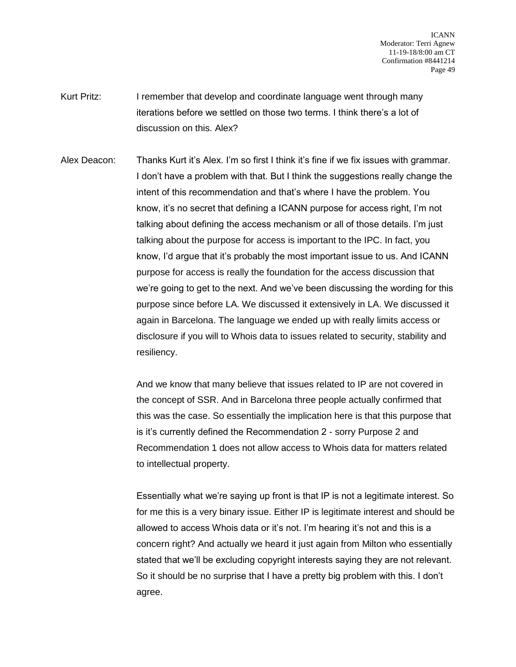- Kurt Pritz: I remember that develop and coordinate language went through many iterations before we settled on those two terms. I think there's a lot of discussion on this. Alex?
- Alex Deacon: Thanks Kurt it's Alex. I'm so first I think it's fine if we fix issues with grammar. I don't have a problem with that. But I think the suggestions really change the intent of this recommendation and that's where I have the problem. You know, it's no secret that defining a ICANN purpose for access right, I'm not talking about defining the access mechanism or all of those details. I'm just talking about the purpose for access is important to the IPC. In fact, you know, I'd argue that it's probably the most important issue to us. And ICANN purpose for access is really the foundation for the access discussion that we're going to get to the next. And we've been discussing the wording for this purpose since before LA. We discussed it extensively in LA. We discussed it again in Barcelona. The language we ended up with really limits access or disclosure if you will to Whois data to issues related to security, stability and resiliency.

And we know that many believe that issues related to IP are not covered in the concept of SSR. And in Barcelona three people actually confirmed that this was the case. So essentially the implication here is that this purpose that is it's currently defined the Recommendation 2 - sorry Purpose 2 and Recommendation 1 does not allow access to Whois data for matters related to intellectual property.

Essentially what we're saying up front is that IP is not a legitimate interest. So for me this is a very binary issue. Either IP is legitimate interest and should be allowed to access Whois data or it's not. I'm hearing it's not and this is a concern right? And actually we heard it just again from Milton who essentially stated that we'll be excluding copyright interests saying they are not relevant. So it should be no surprise that I have a pretty big problem with this. I don't agree.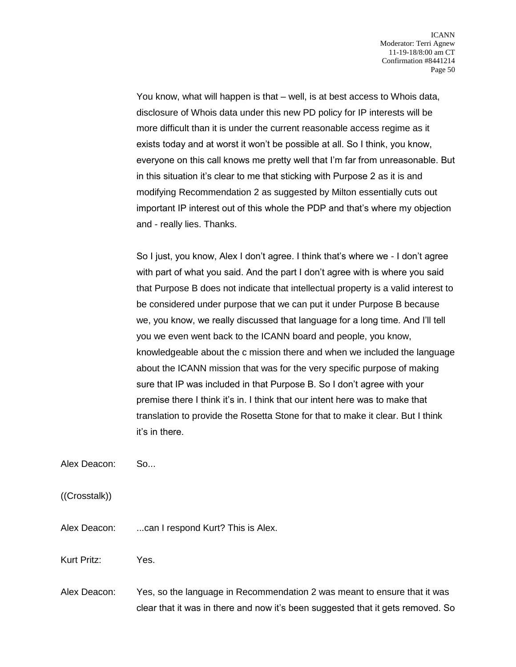You know, what will happen is that – well, is at best access to Whois data, disclosure of Whois data under this new PD policy for IP interests will be more difficult than it is under the current reasonable access regime as it exists today and at worst it won't be possible at all. So I think, you know, everyone on this call knows me pretty well that I'm far from unreasonable. But in this situation it's clear to me that sticking with Purpose 2 as it is and modifying Recommendation 2 as suggested by Milton essentially cuts out important IP interest out of this whole the PDP and that's where my objection and - really lies. Thanks.

So I just, you know, Alex I don't agree. I think that's where we - I don't agree with part of what you said. And the part I don't agree with is where you said that Purpose B does not indicate that intellectual property is a valid interest to be considered under purpose that we can put it under Purpose B because we, you know, we really discussed that language for a long time. And I'll tell you we even went back to the ICANN board and people, you know, knowledgeable about the c mission there and when we included the language about the ICANN mission that was for the very specific purpose of making sure that IP was included in that Purpose B. So I don't agree with your premise there I think it's in. I think that our intent here was to make that translation to provide the Rosetta Stone for that to make it clear. But I think it's in there.

Alex Deacon: So...

((Crosstalk))

Alex Deacon: ...can I respond Kurt? This is Alex.

Kurt Pritz: Yes.

Alex Deacon: Yes, so the language in Recommendation 2 was meant to ensure that it was clear that it was in there and now it's been suggested that it gets removed. So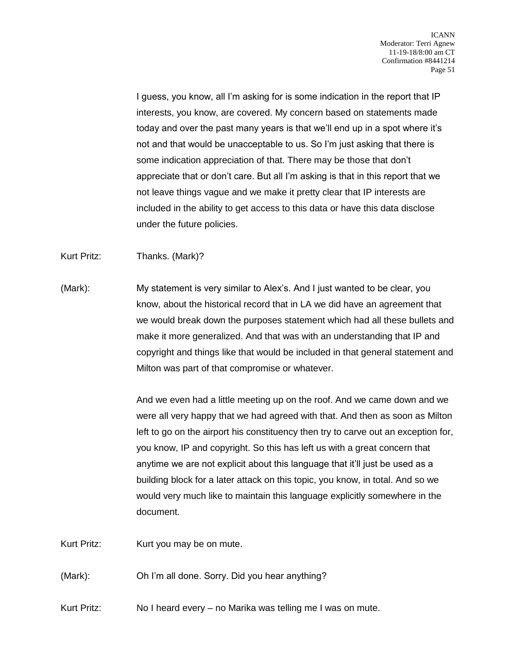I guess, you know, all I'm asking for is some indication in the report that IP interests, you know, are covered. My concern based on statements made today and over the past many years is that we'll end up in a spot where it's not and that would be unacceptable to us. So I'm just asking that there is some indication appreciation of that. There may be those that don't appreciate that or don't care. But all I'm asking is that in this report that we not leave things vague and we make it pretty clear that IP interests are included in the ability to get access to this data or have this data disclose under the future policies.

Kurt Pritz: Thanks. (Mark)?

(Mark): My statement is very similar to Alex's. And I just wanted to be clear, you know, about the historical record that in LA we did have an agreement that we would break down the purposes statement which had all these bullets and make it more generalized. And that was with an understanding that IP and copyright and things like that would be included in that general statement and Milton was part of that compromise or whatever.

> And we even had a little meeting up on the roof. And we came down and we were all very happy that we had agreed with that. And then as soon as Milton left to go on the airport his constituency then try to carve out an exception for, you know, IP and copyright. So this has left us with a great concern that anytime we are not explicit about this language that it'll just be used as a building block for a later attack on this topic, you know, in total. And so we would very much like to maintain this language explicitly somewhere in the document.

Kurt Pritz: Kurt you may be on mute.

(Mark): Oh I'm all done. Sorry. Did you hear anything?

Kurt Pritz: No I heard every – no Marika was telling me I was on mute.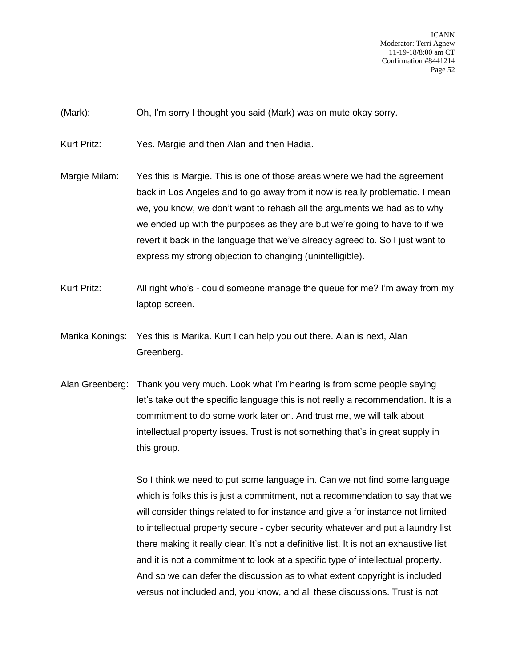(Mark): Oh, I'm sorry I thought you said (Mark) was on mute okay sorry.

Kurt Pritz: Yes. Margie and then Alan and then Hadia.

- Margie Milam: Yes this is Margie. This is one of those areas where we had the agreement back in Los Angeles and to go away from it now is really problematic. I mean we, you know, we don't want to rehash all the arguments we had as to why we ended up with the purposes as they are but we're going to have to if we revert it back in the language that we've already agreed to. So I just want to express my strong objection to changing (unintelligible).
- Kurt Pritz: All right who's could someone manage the queue for me? I'm away from my laptop screen.
- Marika Konings: Yes this is Marika. Kurt I can help you out there. Alan is next, Alan Greenberg.
- Alan Greenberg: Thank you very much. Look what I'm hearing is from some people saying let's take out the specific language this is not really a recommendation. It is a commitment to do some work later on. And trust me, we will talk about intellectual property issues. Trust is not something that's in great supply in this group.

So I think we need to put some language in. Can we not find some language which is folks this is just a commitment, not a recommendation to say that we will consider things related to for instance and give a for instance not limited to intellectual property secure - cyber security whatever and put a laundry list there making it really clear. It's not a definitive list. It is not an exhaustive list and it is not a commitment to look at a specific type of intellectual property. And so we can defer the discussion as to what extent copyright is included versus not included and, you know, and all these discussions. Trust is not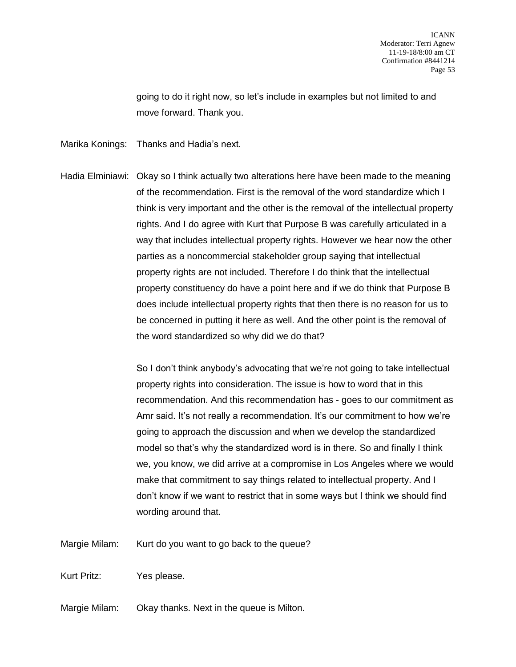going to do it right now, so let's include in examples but not limited to and move forward. Thank you.

Marika Konings: Thanks and Hadia's next.

Hadia Elminiawi: Okay so I think actually two alterations here have been made to the meaning of the recommendation. First is the removal of the word standardize which I think is very important and the other is the removal of the intellectual property rights. And I do agree with Kurt that Purpose B was carefully articulated in a way that includes intellectual property rights. However we hear now the other parties as a noncommercial stakeholder group saying that intellectual property rights are not included. Therefore I do think that the intellectual property constituency do have a point here and if we do think that Purpose B does include intellectual property rights that then there is no reason for us to be concerned in putting it here as well. And the other point is the removal of the word standardized so why did we do that?

> So I don't think anybody's advocating that we're not going to take intellectual property rights into consideration. The issue is how to word that in this recommendation. And this recommendation has - goes to our commitment as Amr said. It's not really a recommendation. It's our commitment to how we're going to approach the discussion and when we develop the standardized model so that's why the standardized word is in there. So and finally I think we, you know, we did arrive at a compromise in Los Angeles where we would make that commitment to say things related to intellectual property. And I don't know if we want to restrict that in some ways but I think we should find wording around that.

Margie Milam: Kurt do you want to go back to the queue?

Kurt Pritz: Yes please.

Margie Milam: Okay thanks. Next in the queue is Milton.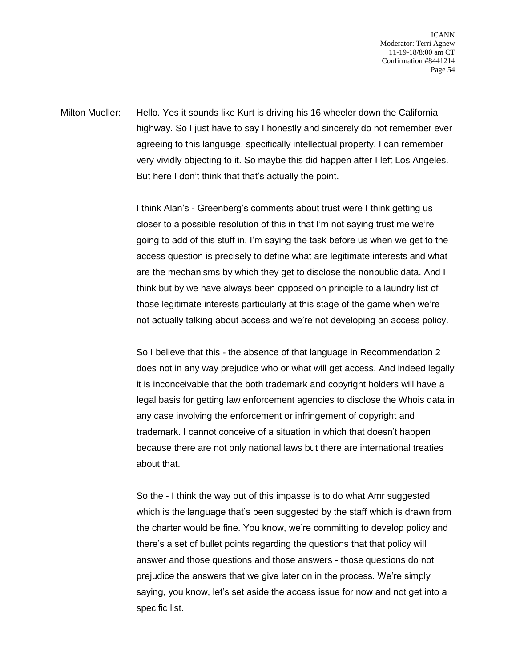Milton Mueller: Hello. Yes it sounds like Kurt is driving his 16 wheeler down the California highway. So I just have to say I honestly and sincerely do not remember ever agreeing to this language, specifically intellectual property. I can remember very vividly objecting to it. So maybe this did happen after I left Los Angeles. But here I don't think that that's actually the point.

> I think Alan's - Greenberg's comments about trust were I think getting us closer to a possible resolution of this in that I'm not saying trust me we're going to add of this stuff in. I'm saying the task before us when we get to the access question is precisely to define what are legitimate interests and what are the mechanisms by which they get to disclose the nonpublic data. And I think but by we have always been opposed on principle to a laundry list of those legitimate interests particularly at this stage of the game when we're not actually talking about access and we're not developing an access policy.

So I believe that this - the absence of that language in Recommendation 2 does not in any way prejudice who or what will get access. And indeed legally it is inconceivable that the both trademark and copyright holders will have a legal basis for getting law enforcement agencies to disclose the Whois data in any case involving the enforcement or infringement of copyright and trademark. I cannot conceive of a situation in which that doesn't happen because there are not only national laws but there are international treaties about that.

So the - I think the way out of this impasse is to do what Amr suggested which is the language that's been suggested by the staff which is drawn from the charter would be fine. You know, we're committing to develop policy and there's a set of bullet points regarding the questions that that policy will answer and those questions and those answers - those questions do not prejudice the answers that we give later on in the process. We're simply saying, you know, let's set aside the access issue for now and not get into a specific list.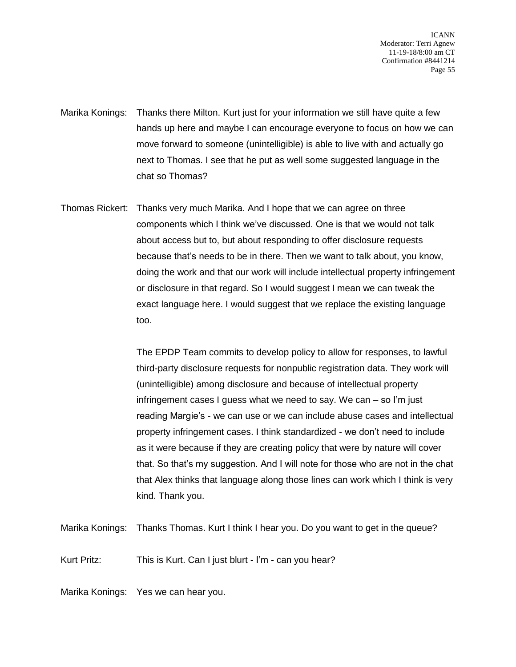- Marika Konings: Thanks there Milton. Kurt just for your information we still have quite a few hands up here and maybe I can encourage everyone to focus on how we can move forward to someone (unintelligible) is able to live with and actually go next to Thomas. I see that he put as well some suggested language in the chat so Thomas?
- Thomas Rickert: Thanks very much Marika. And I hope that we can agree on three components which I think we've discussed. One is that we would not talk about access but to, but about responding to offer disclosure requests because that's needs to be in there. Then we want to talk about, you know, doing the work and that our work will include intellectual property infringement or disclosure in that regard. So I would suggest I mean we can tweak the exact language here. I would suggest that we replace the existing language too.

The EPDP Team commits to develop policy to allow for responses, to lawful third-party disclosure requests for nonpublic registration data. They work will (unintelligible) among disclosure and because of intellectual property infringement cases I guess what we need to say. We can – so I'm just reading Margie's - we can use or we can include abuse cases and intellectual property infringement cases. I think standardized - we don't need to include as it were because if they are creating policy that were by nature will cover that. So that's my suggestion. And I will note for those who are not in the chat that Alex thinks that language along those lines can work which I think is very kind. Thank you.

Marika Konings: Thanks Thomas. Kurt I think I hear you. Do you want to get in the queue?

Kurt Pritz: This is Kurt. Can I just blurt - I'm - can you hear?

Marika Konings: Yes we can hear you.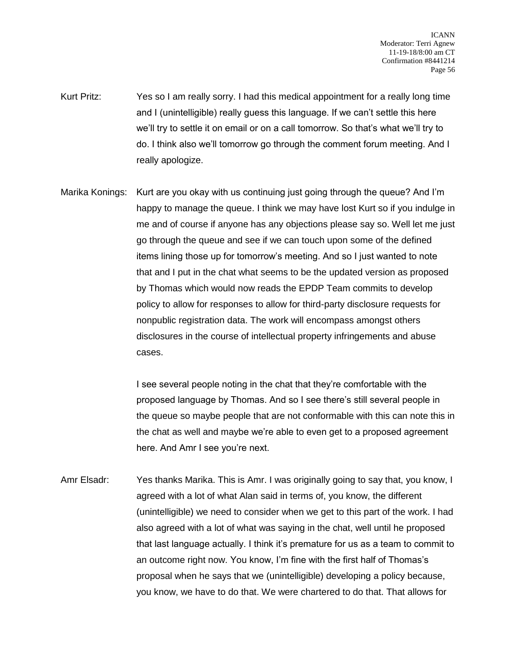- Kurt Pritz: Yes so I am really sorry. I had this medical appointment for a really long time and I (unintelligible) really guess this language. If we can't settle this here we'll try to settle it on email or on a call tomorrow. So that's what we'll try to do. I think also we'll tomorrow go through the comment forum meeting. And I really apologize.
- Marika Konings: Kurt are you okay with us continuing just going through the queue? And I'm happy to manage the queue. I think we may have lost Kurt so if you indulge in me and of course if anyone has any objections please say so. Well let me just go through the queue and see if we can touch upon some of the defined items lining those up for tomorrow's meeting. And so I just wanted to note that and I put in the chat what seems to be the updated version as proposed by Thomas which would now reads the EPDP Team commits to develop policy to allow for responses to allow for third-party disclosure requests for nonpublic registration data. The work will encompass amongst others disclosures in the course of intellectual property infringements and abuse cases.

I see several people noting in the chat that they're comfortable with the proposed language by Thomas. And so I see there's still several people in the queue so maybe people that are not conformable with this can note this in the chat as well and maybe we're able to even get to a proposed agreement here. And Amr I see you're next.

Amr Elsadr: Yes thanks Marika. This is Amr. I was originally going to say that, you know, I agreed with a lot of what Alan said in terms of, you know, the different (unintelligible) we need to consider when we get to this part of the work. I had also agreed with a lot of what was saying in the chat, well until he proposed that last language actually. I think it's premature for us as a team to commit to an outcome right now. You know, I'm fine with the first half of Thomas's proposal when he says that we (unintelligible) developing a policy because, you know, we have to do that. We were chartered to do that. That allows for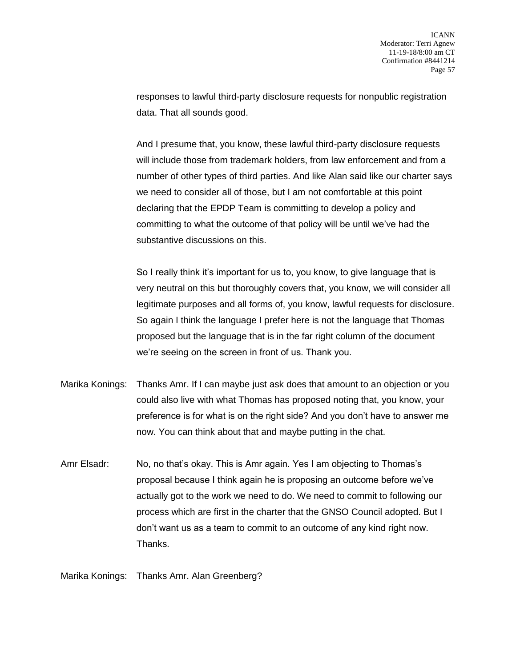responses to lawful third-party disclosure requests for nonpublic registration data. That all sounds good.

And I presume that, you know, these lawful third-party disclosure requests will include those from trademark holders, from law enforcement and from a number of other types of third parties. And like Alan said like our charter says we need to consider all of those, but I am not comfortable at this point declaring that the EPDP Team is committing to develop a policy and committing to what the outcome of that policy will be until we've had the substantive discussions on this.

So I really think it's important for us to, you know, to give language that is very neutral on this but thoroughly covers that, you know, we will consider all legitimate purposes and all forms of, you know, lawful requests for disclosure. So again I think the language I prefer here is not the language that Thomas proposed but the language that is in the far right column of the document we're seeing on the screen in front of us. Thank you.

- Marika Konings: Thanks Amr. If I can maybe just ask does that amount to an objection or you could also live with what Thomas has proposed noting that, you know, your preference is for what is on the right side? And you don't have to answer me now. You can think about that and maybe putting in the chat.
- Amr Elsadr: No, no that's okay. This is Amr again. Yes I am objecting to Thomas's proposal because I think again he is proposing an outcome before we've actually got to the work we need to do. We need to commit to following our process which are first in the charter that the GNSO Council adopted. But I don't want us as a team to commit to an outcome of any kind right now. Thanks.

Marika Konings: Thanks Amr. Alan Greenberg?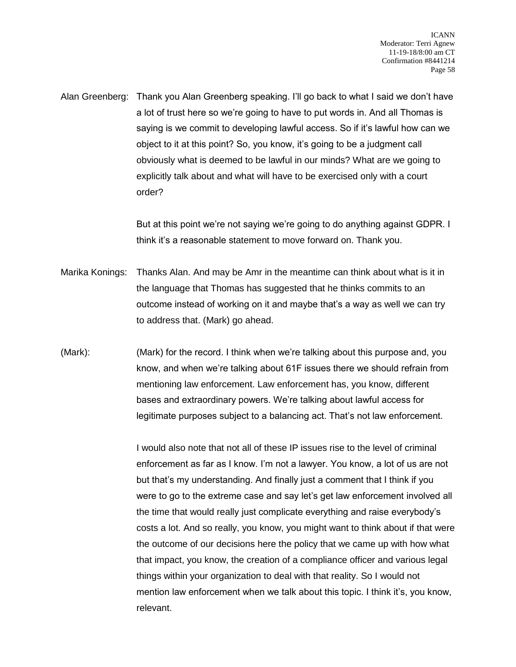Alan Greenberg: Thank you Alan Greenberg speaking. I'll go back to what I said we don't have a lot of trust here so we're going to have to put words in. And all Thomas is saying is we commit to developing lawful access. So if it's lawful how can we object to it at this point? So, you know, it's going to be a judgment call obviously what is deemed to be lawful in our minds? What are we going to explicitly talk about and what will have to be exercised only with a court order?

> But at this point we're not saying we're going to do anything against GDPR. I think it's a reasonable statement to move forward on. Thank you.

- Marika Konings: Thanks Alan. And may be Amr in the meantime can think about what is it in the language that Thomas has suggested that he thinks commits to an outcome instead of working on it and maybe that's a way as well we can try to address that. (Mark) go ahead.
- (Mark): (Mark) for the record. I think when we're talking about this purpose and, you know, and when we're talking about 61F issues there we should refrain from mentioning law enforcement. Law enforcement has, you know, different bases and extraordinary powers. We're talking about lawful access for legitimate purposes subject to a balancing act. That's not law enforcement.

I would also note that not all of these IP issues rise to the level of criminal enforcement as far as I know. I'm not a lawyer. You know, a lot of us are not but that's my understanding. And finally just a comment that I think if you were to go to the extreme case and say let's get law enforcement involved all the time that would really just complicate everything and raise everybody's costs a lot. And so really, you know, you might want to think about if that were the outcome of our decisions here the policy that we came up with how what that impact, you know, the creation of a compliance officer and various legal things within your organization to deal with that reality. So I would not mention law enforcement when we talk about this topic. I think it's, you know, relevant.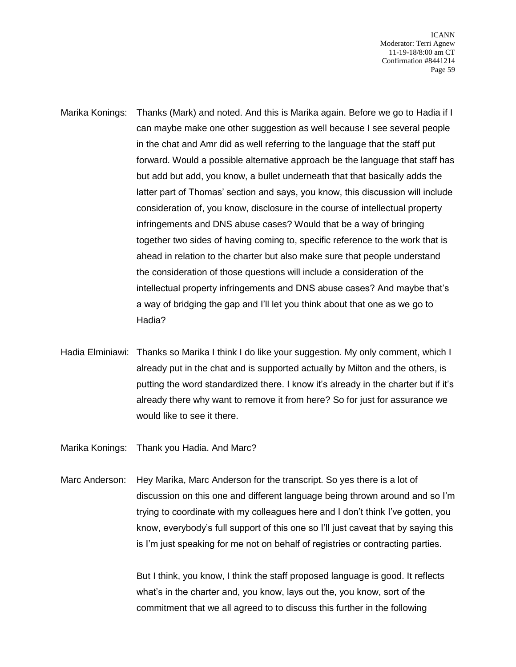- Marika Konings: Thanks (Mark) and noted. And this is Marika again. Before we go to Hadia if I can maybe make one other suggestion as well because I see several people in the chat and Amr did as well referring to the language that the staff put forward. Would a possible alternative approach be the language that staff has but add but add, you know, a bullet underneath that that basically adds the latter part of Thomas' section and says, you know, this discussion will include consideration of, you know, disclosure in the course of intellectual property infringements and DNS abuse cases? Would that be a way of bringing together two sides of having coming to, specific reference to the work that is ahead in relation to the charter but also make sure that people understand the consideration of those questions will include a consideration of the intellectual property infringements and DNS abuse cases? And maybe that's a way of bridging the gap and I'll let you think about that one as we go to Hadia?
- Hadia Elminiawi: Thanks so Marika I think I do like your suggestion. My only comment, which I already put in the chat and is supported actually by Milton and the others, is putting the word standardized there. I know it's already in the charter but if it's already there why want to remove it from here? So for just for assurance we would like to see it there.
- Marika Konings: Thank you Hadia. And Marc?
- Marc Anderson: Hey Marika, Marc Anderson for the transcript. So yes there is a lot of discussion on this one and different language being thrown around and so I'm trying to coordinate with my colleagues here and I don't think I've gotten, you know, everybody's full support of this one so I'll just caveat that by saying this is I'm just speaking for me not on behalf of registries or contracting parties.

But I think, you know, I think the staff proposed language is good. It reflects what's in the charter and, you know, lays out the, you know, sort of the commitment that we all agreed to to discuss this further in the following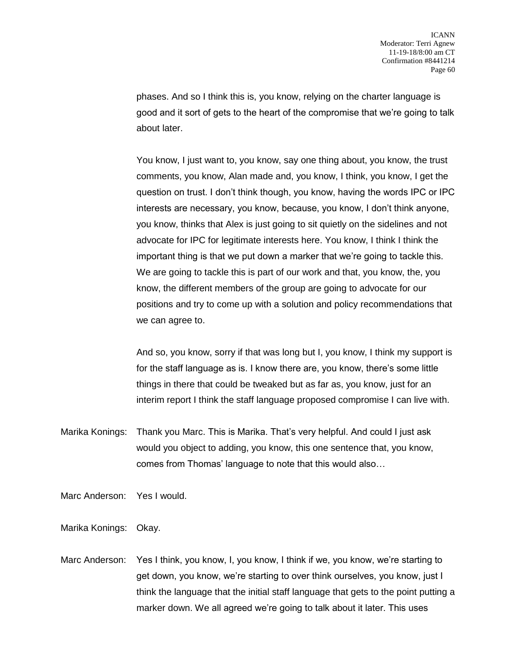phases. And so I think this is, you know, relying on the charter language is good and it sort of gets to the heart of the compromise that we're going to talk about later.

You know, I just want to, you know, say one thing about, you know, the trust comments, you know, Alan made and, you know, I think, you know, I get the question on trust. I don't think though, you know, having the words IPC or IPC interests are necessary, you know, because, you know, I don't think anyone, you know, thinks that Alex is just going to sit quietly on the sidelines and not advocate for IPC for legitimate interests here. You know, I think I think the important thing is that we put down a marker that we're going to tackle this. We are going to tackle this is part of our work and that, you know, the, you know, the different members of the group are going to advocate for our positions and try to come up with a solution and policy recommendations that we can agree to.

And so, you know, sorry if that was long but I, you know, I think my support is for the staff language as is. I know there are, you know, there's some little things in there that could be tweaked but as far as, you know, just for an interim report I think the staff language proposed compromise I can live with.

- Marika Konings: Thank you Marc. This is Marika. That's very helpful. And could I just ask would you object to adding, you know, this one sentence that, you know, comes from Thomas' language to note that this would also…
- Marc Anderson: Yes I would.
- Marika Konings: Okay.
- Marc Anderson: Yes I think, you know, I, you know, I think if we, you know, we're starting to get down, you know, we're starting to over think ourselves, you know, just I think the language that the initial staff language that gets to the point putting a marker down. We all agreed we're going to talk about it later. This uses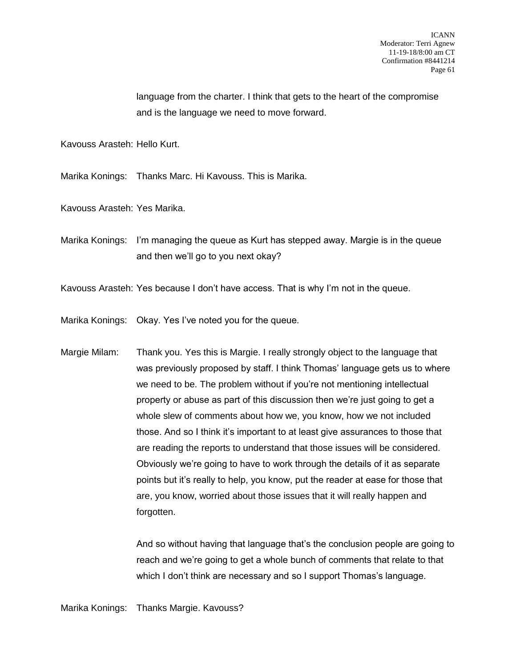language from the charter. I think that gets to the heart of the compromise and is the language we need to move forward.

Kavouss Arasteh: Hello Kurt.

Marika Konings: Thanks Marc. Hi Kavouss. This is Marika.

Kavouss Arasteh: Yes Marika.

Marika Konings: I'm managing the queue as Kurt has stepped away. Margie is in the queue and then we'll go to you next okay?

Kavouss Arasteh: Yes because I don't have access. That is why I'm not in the queue.

Marika Konings: Okay. Yes I've noted you for the queue.

Margie Milam: Thank you. Yes this is Margie. I really strongly object to the language that was previously proposed by staff. I think Thomas' language gets us to where we need to be. The problem without if you're not mentioning intellectual property or abuse as part of this discussion then we're just going to get a whole slew of comments about how we, you know, how we not included those. And so I think it's important to at least give assurances to those that are reading the reports to understand that those issues will be considered. Obviously we're going to have to work through the details of it as separate points but it's really to help, you know, put the reader at ease for those that are, you know, worried about those issues that it will really happen and forgotten.

> And so without having that language that's the conclusion people are going to reach and we're going to get a whole bunch of comments that relate to that which I don't think are necessary and so I support Thomas's language.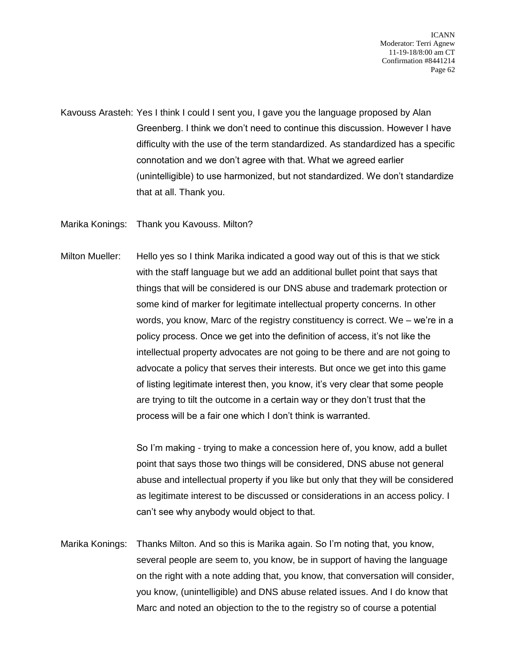Kavouss Arasteh: Yes I think I could I sent you, I gave you the language proposed by Alan Greenberg. I think we don't need to continue this discussion. However I have difficulty with the use of the term standardized. As standardized has a specific connotation and we don't agree with that. What we agreed earlier (unintelligible) to use harmonized, but not standardized. We don't standardize that at all. Thank you.

Marika Konings: Thank you Kavouss. Milton?

Milton Mueller: Hello yes so I think Marika indicated a good way out of this is that we stick with the staff language but we add an additional bullet point that says that things that will be considered is our DNS abuse and trademark protection or some kind of marker for legitimate intellectual property concerns. In other words, you know, Marc of the registry constituency is correct. We – we're in a policy process. Once we get into the definition of access, it's not like the intellectual property advocates are not going to be there and are not going to advocate a policy that serves their interests. But once we get into this game of listing legitimate interest then, you know, it's very clear that some people are trying to tilt the outcome in a certain way or they don't trust that the process will be a fair one which I don't think is warranted.

> So I'm making - trying to make a concession here of, you know, add a bullet point that says those two things will be considered, DNS abuse not general abuse and intellectual property if you like but only that they will be considered as legitimate interest to be discussed or considerations in an access policy. I can't see why anybody would object to that.

Marika Konings: Thanks Milton. And so this is Marika again. So I'm noting that, you know, several people are seem to, you know, be in support of having the language on the right with a note adding that, you know, that conversation will consider, you know, (unintelligible) and DNS abuse related issues. And I do know that Marc and noted an objection to the to the registry so of course a potential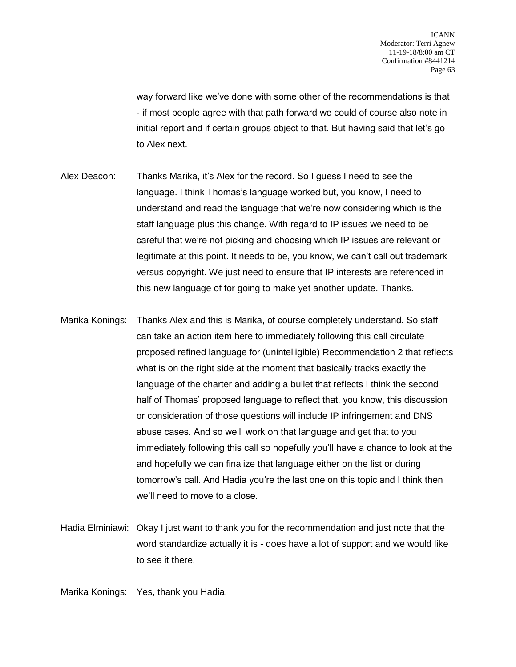way forward like we've done with some other of the recommendations is that - if most people agree with that path forward we could of course also note in initial report and if certain groups object to that. But having said that let's go to Alex next.

- Alex Deacon: Thanks Marika, it's Alex for the record. So I guess I need to see the language. I think Thomas's language worked but, you know, I need to understand and read the language that we're now considering which is the staff language plus this change. With regard to IP issues we need to be careful that we're not picking and choosing which IP issues are relevant or legitimate at this point. It needs to be, you know, we can't call out trademark versus copyright. We just need to ensure that IP interests are referenced in this new language of for going to make yet another update. Thanks.
- Marika Konings: Thanks Alex and this is Marika, of course completely understand. So staff can take an action item here to immediately following this call circulate proposed refined language for (unintelligible) Recommendation 2 that reflects what is on the right side at the moment that basically tracks exactly the language of the charter and adding a bullet that reflects I think the second half of Thomas' proposed language to reflect that, you know, this discussion or consideration of those questions will include IP infringement and DNS abuse cases. And so we'll work on that language and get that to you immediately following this call so hopefully you'll have a chance to look at the and hopefully we can finalize that language either on the list or during tomorrow's call. And Hadia you're the last one on this topic and I think then we'll need to move to a close.
- Hadia Elminiawi: Okay I just want to thank you for the recommendation and just note that the word standardize actually it is - does have a lot of support and we would like to see it there.

Marika Konings: Yes, thank you Hadia.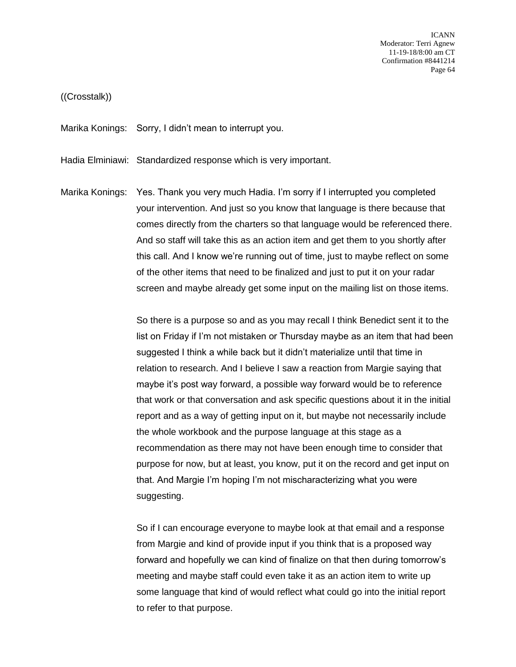## ((Crosstalk))

Marika Konings: Sorry, I didn't mean to interrupt you.

Hadia Elminiawi: Standardized response which is very important.

Marika Konings: Yes. Thank you very much Hadia. I'm sorry if I interrupted you completed your intervention. And just so you know that language is there because that comes directly from the charters so that language would be referenced there. And so staff will take this as an action item and get them to you shortly after this call. And I know we're running out of time, just to maybe reflect on some of the other items that need to be finalized and just to put it on your radar screen and maybe already get some input on the mailing list on those items.

> So there is a purpose so and as you may recall I think Benedict sent it to the list on Friday if I'm not mistaken or Thursday maybe as an item that had been suggested I think a while back but it didn't materialize until that time in relation to research. And I believe I saw a reaction from Margie saying that maybe it's post way forward, a possible way forward would be to reference that work or that conversation and ask specific questions about it in the initial report and as a way of getting input on it, but maybe not necessarily include the whole workbook and the purpose language at this stage as a recommendation as there may not have been enough time to consider that purpose for now, but at least, you know, put it on the record and get input on that. And Margie I'm hoping I'm not mischaracterizing what you were suggesting.

So if I can encourage everyone to maybe look at that email and a response from Margie and kind of provide input if you think that is a proposed way forward and hopefully we can kind of finalize on that then during tomorrow's meeting and maybe staff could even take it as an action item to write up some language that kind of would reflect what could go into the initial report to refer to that purpose.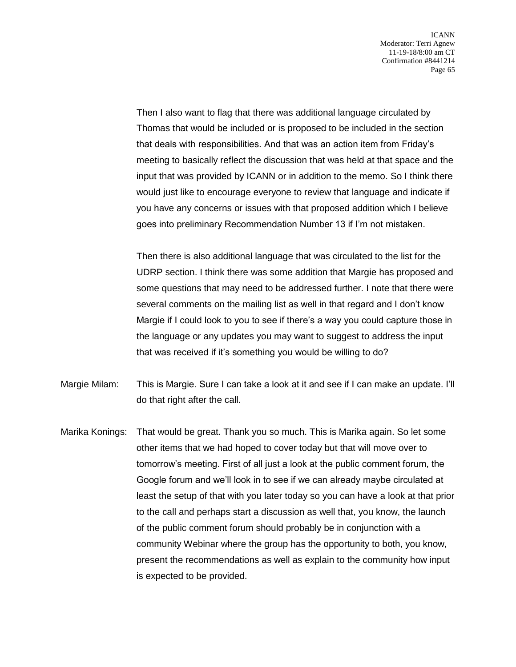Then I also want to flag that there was additional language circulated by Thomas that would be included or is proposed to be included in the section that deals with responsibilities. And that was an action item from Friday's meeting to basically reflect the discussion that was held at that space and the input that was provided by ICANN or in addition to the memo. So I think there would just like to encourage everyone to review that language and indicate if you have any concerns or issues with that proposed addition which I believe goes into preliminary Recommendation Number 13 if I'm not mistaken.

Then there is also additional language that was circulated to the list for the UDRP section. I think there was some addition that Margie has proposed and some questions that may need to be addressed further. I note that there were several comments on the mailing list as well in that regard and I don't know Margie if I could look to you to see if there's a way you could capture those in the language or any updates you may want to suggest to address the input that was received if it's something you would be willing to do?

Margie Milam: This is Margie. Sure I can take a look at it and see if I can make an update. I'll do that right after the call.

Marika Konings: That would be great. Thank you so much. This is Marika again. So let some other items that we had hoped to cover today but that will move over to tomorrow's meeting. First of all just a look at the public comment forum, the Google forum and we'll look in to see if we can already maybe circulated at least the setup of that with you later today so you can have a look at that prior to the call and perhaps start a discussion as well that, you know, the launch of the public comment forum should probably be in conjunction with a community Webinar where the group has the opportunity to both, you know, present the recommendations as well as explain to the community how input is expected to be provided.